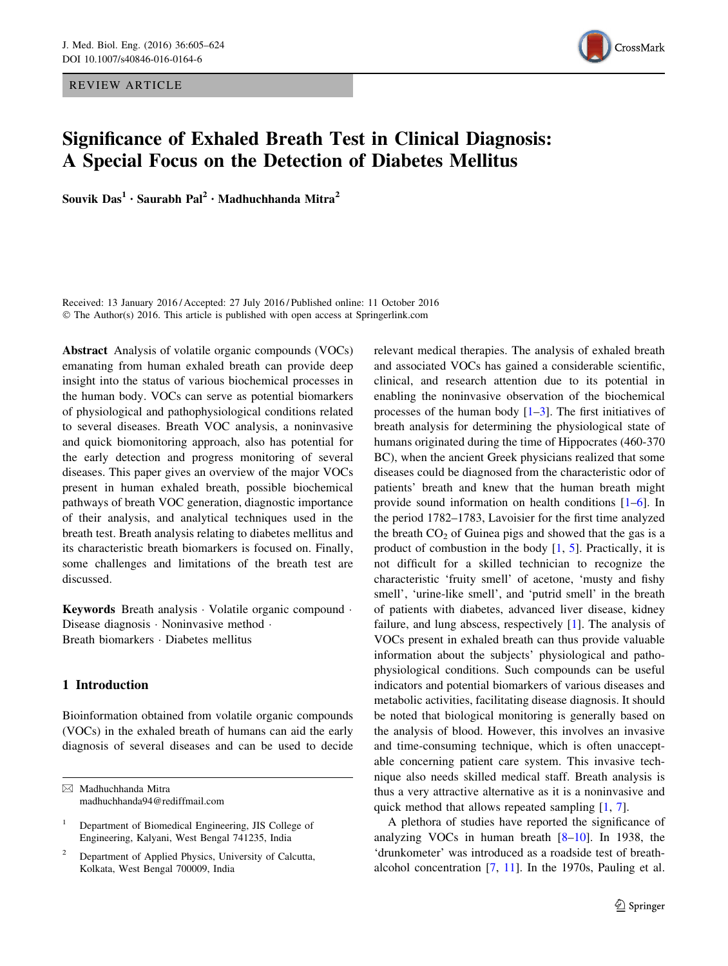REVIEW ARTICLE



# Significance of Exhaled Breath Test in Clinical Diagnosis: A Special Focus on the Detection of Diabetes Mellitus

Souvik Das<sup>1</sup> · Saurabh Pal<sup>2</sup> · Madhuchhanda Mitra<sup>2</sup>

Received: 13 January 2016 / Accepted: 27 July 2016 / Published online: 11 October 2016 © The Author(s) 2016. This article is published with open access at Springerlink.com

Abstract Analysis of volatile organic compounds (VOCs) emanating from human exhaled breath can provide deep insight into the status of various biochemical processes in the human body. VOCs can serve as potential biomarkers of physiological and pathophysiological conditions related to several diseases. Breath VOC analysis, a noninvasive and quick biomonitoring approach, also has potential for the early detection and progress monitoring of several diseases. This paper gives an overview of the major VOCs present in human exhaled breath, possible biochemical pathways of breath VOC generation, diagnostic importance of their analysis, and analytical techniques used in the breath test. Breath analysis relating to diabetes mellitus and its characteristic breath biomarkers is focused on. Finally, some challenges and limitations of the breath test are discussed.

Keywords Breath analysis - Volatile organic compound - Disease diagnosis · Noninvasive method · Breath biomarkers - Diabetes mellitus

# 1 Introduction

Bioinformation obtained from volatile organic compounds (VOCs) in the exhaled breath of humans can aid the early diagnosis of several diseases and can be used to decide

 $\boxtimes$  Madhuchhanda Mitra madhuchhanda94@rediffmail.com relevant medical therapies. The analysis of exhaled breath and associated VOCs has gained a considerable scientific, clinical, and research attention due to its potential in enabling the noninvasive observation of the biochemical processes of the human body  $[1-3]$ . The first initiatives of breath analysis for determining the physiological state of humans originated during the time of Hippocrates (460-370 BC), when the ancient Greek physicians realized that some diseases could be diagnosed from the characteristic odor of patients' breath and knew that the human breath might provide sound information on health conditions [\[1–6](#page-12-0)]. In the period 1782–1783, Lavoisier for the first time analyzed the breath  $CO<sub>2</sub>$  of Guinea pigs and showed that the gas is a product of combustion in the body  $[1, 5]$  $[1, 5]$  $[1, 5]$  $[1, 5]$ . Practically, it is not difficult for a skilled technician to recognize the characteristic 'fruity smell' of acetone, 'musty and fishy smell', 'urine-like smell', and 'putrid smell' in the breath of patients with diabetes, advanced liver disease, kidney failure, and lung abscess, respectively [[1\]](#page-12-0). The analysis of VOCs present in exhaled breath can thus provide valuable information about the subjects' physiological and pathophysiological conditions. Such compounds can be useful indicators and potential biomarkers of various diseases and metabolic activities, facilitating disease diagnosis. It should be noted that biological monitoring is generally based on the analysis of blood. However, this involves an invasive and time-consuming technique, which is often unacceptable concerning patient care system. This invasive technique also needs skilled medical staff. Breath analysis is thus a very attractive alternative as it is a noninvasive and quick method that allows repeated sampling [[1,](#page-12-0) [7](#page-12-0)].

A plethora of studies have reported the significance of analyzing VOCs in human breath [[8–](#page-12-0)[10\]](#page-13-0). In 1938, the 'drunkometer' was introduced as a roadside test of breathalcohol concentration [[7,](#page-12-0) [11](#page-13-0)]. In the 1970s, Pauling et al.

<sup>1</sup> Department of Biomedical Engineering, JIS College of Engineering, Kalyani, West Bengal 741235, India

<sup>2</sup> Department of Applied Physics, University of Calcutta, Kolkata, West Bengal 700009, India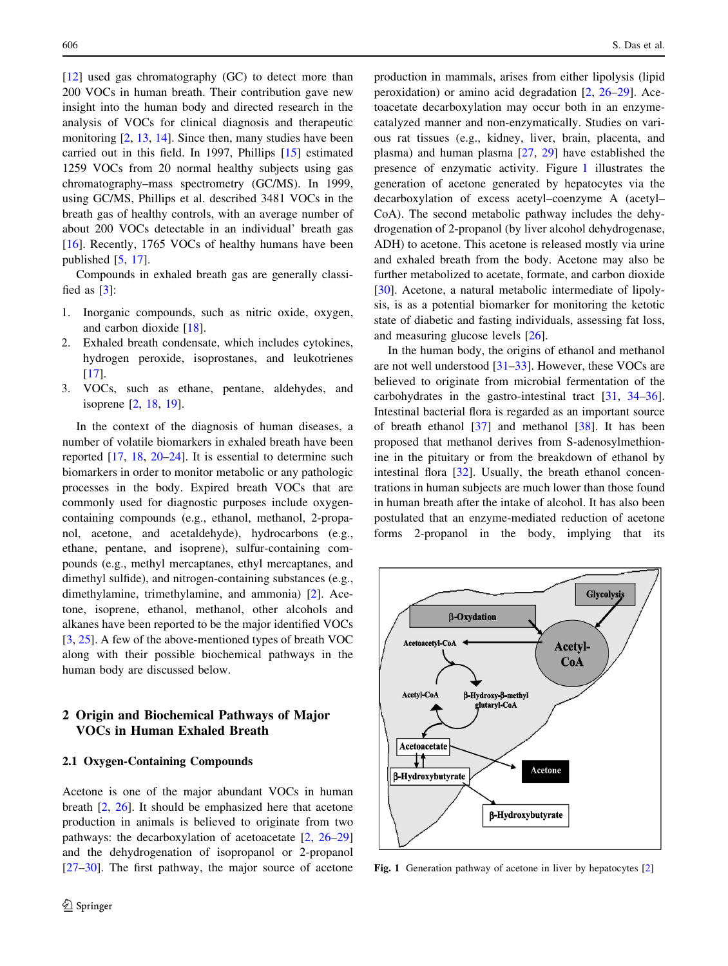[\[12](#page-13-0)] used gas chromatography (GC) to detect more than 200 VOCs in human breath. Their contribution gave new insight into the human body and directed research in the analysis of VOCs for clinical diagnosis and therapeutic monitoring [[2,](#page-12-0) [13,](#page-13-0) [14](#page-13-0)]. Since then, many studies have been carried out in this field. In 1997, Phillips [\[15](#page-13-0)] estimated 1259 VOCs from 20 normal healthy subjects using gas chromatography–mass spectrometry (GC/MS). In 1999, using GC/MS, Phillips et al. described 3481 VOCs in the breath gas of healthy controls, with an average number of about 200 VOCs detectable in an individual' breath gas [\[16](#page-13-0)]. Recently, 1765 VOCs of healthy humans have been published [[5,](#page-12-0) [17](#page-13-0)].

Compounds in exhaled breath gas are generally classified as [\[3](#page-12-0)]:

- 1. Inorganic compounds, such as nitric oxide, oxygen, and carbon dioxide [\[18](#page-13-0)].
- 2. Exhaled breath condensate, which includes cytokines, hydrogen peroxide, isoprostanes, and leukotrienes [\[17](#page-13-0)].
- 3. VOCs, such as ethane, pentane, aldehydes, and isoprene [[2,](#page-12-0) [18](#page-13-0), [19](#page-13-0)].

In the context of the diagnosis of human diseases, a number of volatile biomarkers in exhaled breath have been reported [\[17](#page-13-0), [18](#page-13-0), [20–24](#page-13-0)]. It is essential to determine such biomarkers in order to monitor metabolic or any pathologic processes in the body. Expired breath VOCs that are commonly used for diagnostic purposes include oxygencontaining compounds (e.g., ethanol, methanol, 2-propanol, acetone, and acetaldehyde), hydrocarbons (e.g., ethane, pentane, and isoprene), sulfur-containing compounds (e.g., methyl mercaptanes, ethyl mercaptanes, and dimethyl sulfide), and nitrogen-containing substances (e.g., dimethylamine, trimethylamine, and ammonia) [\[2](#page-12-0)]. Acetone, isoprene, ethanol, methanol, other alcohols and alkanes have been reported to be the major identified VOCs [\[3](#page-12-0), [25](#page-13-0)]. A few of the above-mentioned types of breath VOC along with their possible biochemical pathways in the human body are discussed below.

# 2 Origin and Biochemical Pathways of Major VOCs in Human Exhaled Breath

#### 2.1 Oxygen-Containing Compounds

Acetone is one of the major abundant VOCs in human breath [\[2](#page-12-0), [26](#page-13-0)]. It should be emphasized here that acetone production in animals is believed to originate from two pathways: the decarboxylation of acetoacetate [\[2](#page-12-0), [26–29\]](#page-13-0) and the dehydrogenation of isopropanol or 2-propanol [\[27–30](#page-13-0)]. The first pathway, the major source of acetone production in mammals, arises from either lipolysis (lipid peroxidation) or amino acid degradation [\[2](#page-12-0), [26–29](#page-13-0)]. Acetoacetate decarboxylation may occur both in an enzymecatalyzed manner and non-enzymatically. Studies on various rat tissues (e.g., kidney, liver, brain, placenta, and plasma) and human plasma [[27,](#page-13-0) [29](#page-13-0)] have established the presence of enzymatic activity. Figure 1 illustrates the generation of acetone generated by hepatocytes via the decarboxylation of excess acetyl–coenzyme A (acetyl– CoA). The second metabolic pathway includes the dehydrogenation of 2-propanol (by liver alcohol dehydrogenase, ADH) to acetone. This acetone is released mostly via urine and exhaled breath from the body. Acetone may also be further metabolized to acetate, formate, and carbon dioxide [\[30](#page-13-0)]. Acetone, a natural metabolic intermediate of lipolysis, is as a potential biomarker for monitoring the ketotic state of diabetic and fasting individuals, assessing fat loss, and measuring glucose levels [[26\]](#page-13-0).

In the human body, the origins of ethanol and methanol are not well understood [\[31–33](#page-13-0)]. However, these VOCs are believed to originate from microbial fermentation of the carbohydrates in the gastro-intestinal tract [\[31](#page-13-0), [34–36](#page-13-0)]. Intestinal bacterial flora is regarded as an important source of breath ethanol [[37\]](#page-13-0) and methanol [[38\]](#page-13-0). It has been proposed that methanol derives from S-adenosylmethionine in the pituitary or from the breakdown of ethanol by intestinal flora [[32\]](#page-13-0). Usually, the breath ethanol concentrations in human subjects are much lower than those found in human breath after the intake of alcohol. It has also been postulated that an enzyme-mediated reduction of acetone forms 2-propanol in the body, implying that its



Fig. 1 Generation pathway of acetone in liver by hepatocytes [\[2](#page-12-0)]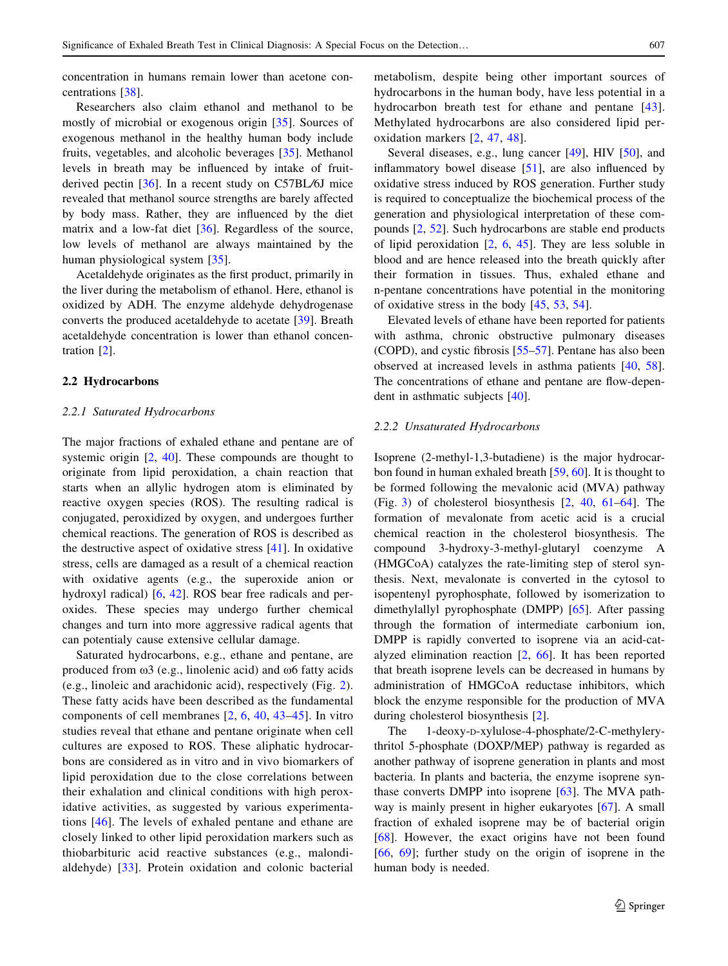concentration in humans remain lower than acetone concentrations [[38\]](#page-13-0).

Researchers also claim ethanol and methanol to be mostly of microbial or exogenous origin [[35\]](#page-13-0). Sources of exogenous methanol in the healthy human body include fruits, vegetables, and alcoholic beverages [\[35](#page-13-0)]. Methanol levels in breath may be influenced by intake of fruitderived pectin [[36\]](#page-13-0). In a recent study on C57BL/6J mice revealed that methanol source strengths are barely affected by body mass. Rather, they are influenced by the diet matrix and a low-fat diet [[36\]](#page-13-0). Regardless of the source, low levels of methanol are always maintained by the human physiological system [\[35](#page-13-0)].

Acetaldehyde originates as the first product, primarily in the liver during the metabolism of ethanol. Here, ethanol is oxidized by ADH. The enzyme aldehyde dehydrogenase converts the produced acetaldehyde to acetate [[39\]](#page-13-0). Breath acetaldehyde concentration is lower than ethanol concentration [[2\]](#page-12-0).

#### 2.2 Hydrocarbons

#### 2.2.1 Saturated Hydrocarbons

The major fractions of exhaled ethane and pentane are of systemic origin  $[2, 40]$  $[2, 40]$  $[2, 40]$ . These compounds are thought to originate from lipid peroxidation, a chain reaction that starts when an allylic hydrogen atom is eliminated by reactive oxygen species (ROS). The resulting radical is conjugated, peroxidized by oxygen, and undergoes further chemical reactions. The generation of ROS is described as the destructive aspect of oxidative stress [[41\]](#page-13-0). In oxidative stress, cells are damaged as a result of a chemical reaction with oxidative agents (e.g., the superoxide anion or hydroxyl radical) [[6,](#page-12-0) [42\]](#page-13-0). ROS bear free radicals and peroxides. These species may undergo further chemical changes and turn into more aggressive radical agents that can potentialy cause extensive cellular damage.

Saturated hydrocarbons, e.g., ethane and pentane, are produced from  $\omega$ 3 (e.g., linolenic acid) and  $\omega$ 6 fatty acids (e.g., linoleic and arachidonic acid), respectively (Fig. [2](#page-3-0)). These fatty acids have been described as the fundamental components of cell membranes [\[2,](#page-12-0) [6](#page-12-0), [40](#page-13-0), [43–](#page-13-0)[45](#page-14-0)]. In vitro studies reveal that ethane and pentane originate when cell cultures are exposed to ROS. These aliphatic hydrocarbons are considered as in vitro and in vivo biomarkers of lipid peroxidation due to the close correlations between their exhalation and clinical conditions with high peroxidative activities, as suggested by various experimentations [[46](#page-14-0)]. The levels of exhaled pentane and ethane are closely linked to other lipid peroxidation markers such as thiobarbituric acid reactive substances (e.g., malondialdehyde) [[33\]](#page-13-0). Protein oxidation and colonic bacterial metabolism, despite being other important sources of hydrocarbons in the human body, have less potential in a hydrocarbon breath test for ethane and pentane [\[43](#page-13-0)]. Methylated hydrocarbons are also considered lipid peroxidation markers [[2,](#page-12-0) [47](#page-14-0), [48](#page-14-0)].

Several diseases, e.g., lung cancer [[49\]](#page-14-0), HIV [\[50](#page-14-0)], and inflammatory bowel disease [\[51](#page-14-0)], are also influenced by oxidative stress induced by ROS generation. Further study is required to conceptualize the biochemical process of the generation and physiological interpretation of these compounds [\[2](#page-12-0), [52\]](#page-14-0). Such hydrocarbons are stable end products of lipid peroxidation [\[2](#page-12-0), [6](#page-12-0), [45\]](#page-14-0). They are less soluble in blood and are hence released into the breath quickly after their formation in tissues. Thus, exhaled ethane and n-pentane concentrations have potential in the monitoring of oxidative stress in the body [\[45](#page-14-0), [53](#page-14-0), [54\]](#page-14-0).

Elevated levels of ethane have been reported for patients with asthma, chronic obstructive pulmonary diseases (COPD), and cystic fibrosis [[55–57\]](#page-14-0). Pentane has also been observed at increased levels in asthma patients [[40,](#page-13-0) [58](#page-14-0)]. The concentrations of ethane and pentane are flow-dependent in asthmatic subjects [[40](#page-13-0)].

## 2.2.2 Unsaturated Hydrocarbons

Isoprene (2-methyl-1,3-butadiene) is the major hydrocarbon found in human exhaled breath [\[59](#page-14-0), [60\]](#page-14-0). It is thought to be formed following the mevalonic acid (MVA) pathway (Fig. [3\)](#page-4-0) of cholesterol biosynthesis [[2](#page-12-0), [40](#page-13-0), [61–64\]](#page-14-0). The formation of mevalonate from acetic acid is a crucial chemical reaction in the cholesterol biosynthesis. The compound 3-hydroxy-3-methyl-glutaryl coenzyme A (HMGCoA) catalyzes the rate-limiting step of sterol synthesis. Next, mevalonate is converted in the cytosol to isopentenyl pyrophosphate, followed by isomerization to dimethylallyl pyrophosphate (DMPP) [[65\]](#page-14-0). After passing through the formation of intermediate carbonium ion, DMPP is rapidly converted to isoprene via an acid-catalyzed elimination reaction [\[2](#page-12-0), [66\]](#page-14-0). It has been reported that breath isoprene levels can be decreased in humans by administration of HMGCoA reductase inhibitors, which block the enzyme responsible for the production of MVA during cholesterol biosynthesis [[2\]](#page-12-0).

The 1-deoxy-D-xylulose-4-phosphate/2-C-methylerythritol 5-phosphate (DOXP/MEP) pathway is regarded as another pathway of isoprene generation in plants and most bacteria. In plants and bacteria, the enzyme isoprene synthase converts DMPP into isoprene [\[63](#page-14-0)]. The MVA pathway is mainly present in higher eukaryotes [\[67](#page-14-0)]. A small fraction of exhaled isoprene may be of bacterial origin [\[68](#page-14-0)]. However, the exact origins have not been found [\[66](#page-14-0), [69\]](#page-14-0); further study on the origin of isoprene in the human body is needed.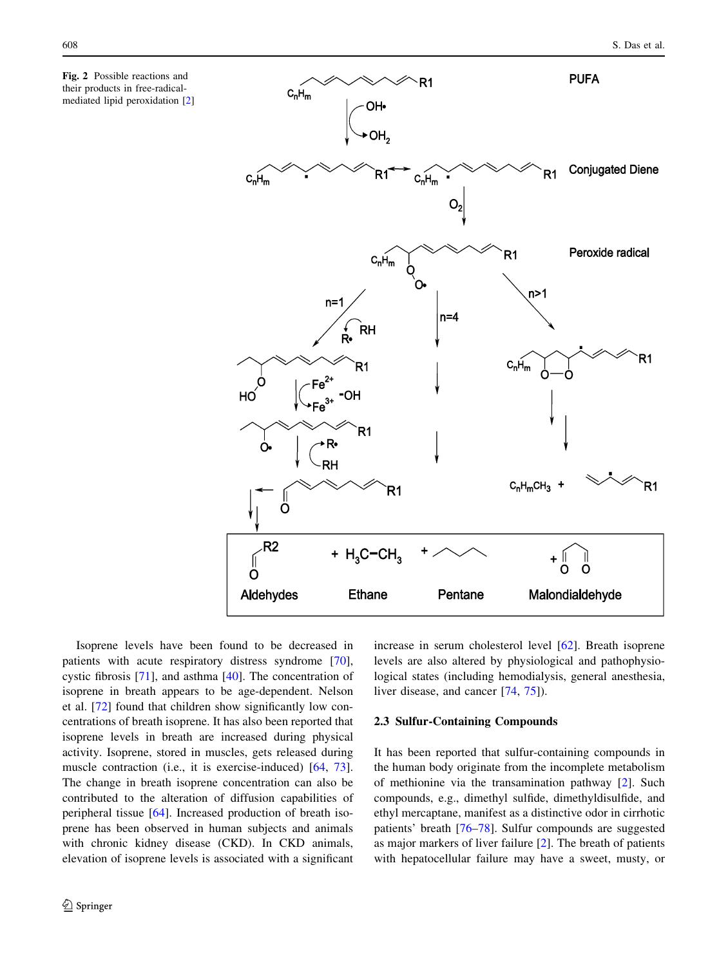<span id="page-3-0"></span>Fig. 2 Possible reactions and their products in free-radicalmediated lipid peroxidation [\[2](#page-12-0)]



Isoprene levels have been found to be decreased in patients with acute respiratory distress syndrome [\[70](#page-14-0)], cystic fibrosis [\[71](#page-14-0)], and asthma [\[40](#page-13-0)]. The concentration of isoprene in breath appears to be age-dependent. Nelson et al. [\[72](#page-14-0)] found that children show significantly low concentrations of breath isoprene. It has also been reported that isoprene levels in breath are increased during physical activity. Isoprene, stored in muscles, gets released during muscle contraction (i.e., it is exercise-induced) [\[64](#page-14-0), [73](#page-14-0)]. The change in breath isoprene concentration can also be contributed to the alteration of diffusion capabilities of peripheral tissue [\[64](#page-14-0)]. Increased production of breath isoprene has been observed in human subjects and animals with chronic kidney disease (CKD). In CKD animals, elevation of isoprene levels is associated with a significant increase in serum cholesterol level [\[62](#page-14-0)]. Breath isoprene levels are also altered by physiological and pathophysiological states (including hemodialysis, general anesthesia, liver disease, and cancer [\[74](#page-14-0), [75\]](#page-14-0)).

## 2.3 Sulfur-Containing Compounds

It has been reported that sulfur-containing compounds in the human body originate from the incomplete metabolism of methionine via the transamination pathway [[2\]](#page-12-0). Such compounds, e.g., dimethyl sulfide, dimethyldisulfide, and ethyl mercaptane, manifest as a distinctive odor in cirrhotic patients' breath [\[76–78](#page-14-0)]. Sulfur compounds are suggested as major markers of liver failure [\[2](#page-12-0)]. The breath of patients with hepatocellular failure may have a sweet, musty, or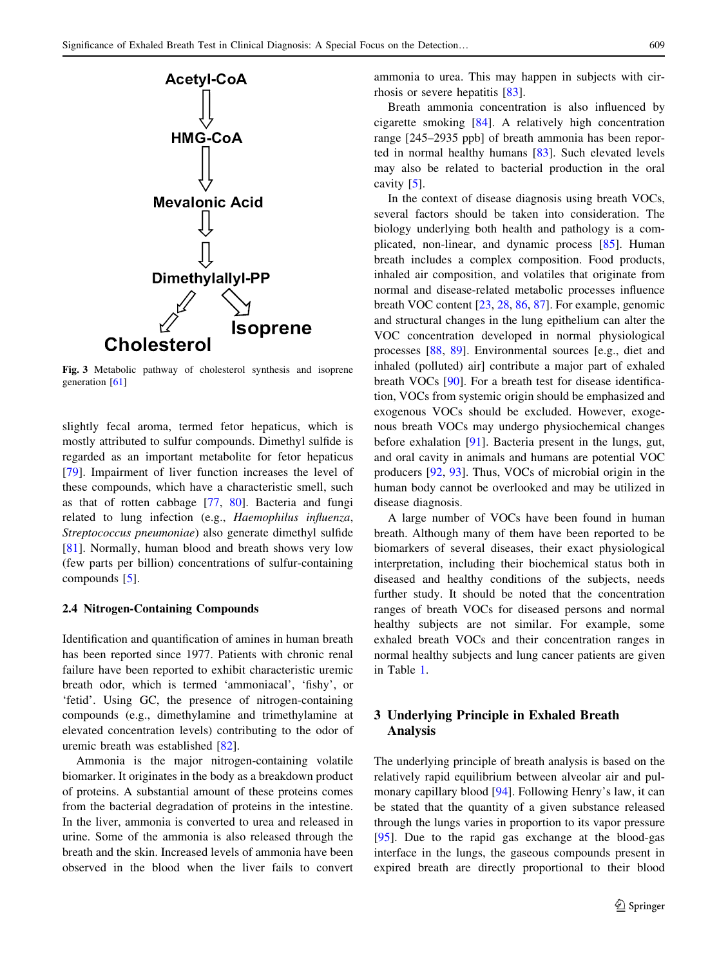<span id="page-4-0"></span>

Fig. 3 Metabolic pathway of cholesterol synthesis and isoprene generation [[61](#page-14-0)]

slightly fecal aroma, termed fetor hepaticus, which is mostly attributed to sulfur compounds. Dimethyl sulfide is regarded as an important metabolite for fetor hepaticus [\[79](#page-14-0)]. Impairment of liver function increases the level of these compounds, which have a characteristic smell, such as that of rotten cabbage [[77,](#page-14-0) [80\]](#page-15-0). Bacteria and fungi related to lung infection (e.g., Haemophilus influenza, Streptococcus pneumoniae) also generate dimethyl sulfide [\[81](#page-15-0)]. Normally, human blood and breath shows very low (few parts per billion) concentrations of sulfur-containing compounds [[5\]](#page-12-0).

## 2.4 Nitrogen-Containing Compounds

Identification and quantification of amines in human breath has been reported since 1977. Patients with chronic renal failure have been reported to exhibit characteristic uremic breath odor, which is termed 'ammoniacal', 'fishy', or 'fetid'. Using GC, the presence of nitrogen-containing compounds (e.g., dimethylamine and trimethylamine at elevated concentration levels) contributing to the odor of uremic breath was established [[82\]](#page-15-0).

Ammonia is the major nitrogen-containing volatile biomarker. It originates in the body as a breakdown product of proteins. A substantial amount of these proteins comes from the bacterial degradation of proteins in the intestine. In the liver, ammonia is converted to urea and released in urine. Some of the ammonia is also released through the breath and the skin. Increased levels of ammonia have been observed in the blood when the liver fails to convert ammonia to urea. This may happen in subjects with cirrhosis or severe hepatitis [\[83](#page-15-0)].

Breath ammonia concentration is also influenced by cigarette smoking [\[84](#page-15-0)]. A relatively high concentration range [245–2935 ppb] of breath ammonia has been reported in normal healthy humans [\[83](#page-15-0)]. Such elevated levels may also be related to bacterial production in the oral cavity [\[5](#page-12-0)].

In the context of disease diagnosis using breath VOCs, several factors should be taken into consideration. The biology underlying both health and pathology is a complicated, non-linear, and dynamic process [[85\]](#page-15-0). Human breath includes a complex composition. Food products, inhaled air composition, and volatiles that originate from normal and disease-related metabolic processes influence breath VOC content [\[23](#page-13-0), [28,](#page-13-0) [86,](#page-15-0) [87\]](#page-15-0). For example, genomic and structural changes in the lung epithelium can alter the VOC concentration developed in normal physiological processes [[88,](#page-15-0) [89](#page-15-0)]. Environmental sources [e.g., diet and inhaled (polluted) air] contribute a major part of exhaled breath VOCs [\[90](#page-15-0)]. For a breath test for disease identification, VOCs from systemic origin should be emphasized and exogenous VOCs should be excluded. However, exogenous breath VOCs may undergo physiochemical changes before exhalation [\[91](#page-15-0)]. Bacteria present in the lungs, gut, and oral cavity in animals and humans are potential VOC producers [\[92](#page-15-0), [93\]](#page-15-0). Thus, VOCs of microbial origin in the human body cannot be overlooked and may be utilized in disease diagnosis.

A large number of VOCs have been found in human breath. Although many of them have been reported to be biomarkers of several diseases, their exact physiological interpretation, including their biochemical status both in diseased and healthy conditions of the subjects, needs further study. It should be noted that the concentration ranges of breath VOCs for diseased persons and normal healthy subjects are not similar. For example, some exhaled breath VOCs and their concentration ranges in normal healthy subjects and lung cancer patients are given in Table [1](#page-5-0).

# 3 Underlying Principle in Exhaled Breath Analysis

The underlying principle of breath analysis is based on the relatively rapid equilibrium between alveolar air and pulmonary capillary blood [[94\]](#page-15-0). Following Henry's law, it can be stated that the quantity of a given substance released through the lungs varies in proportion to its vapor pressure [\[95](#page-15-0)]. Due to the rapid gas exchange at the blood-gas interface in the lungs, the gaseous compounds present in expired breath are directly proportional to their blood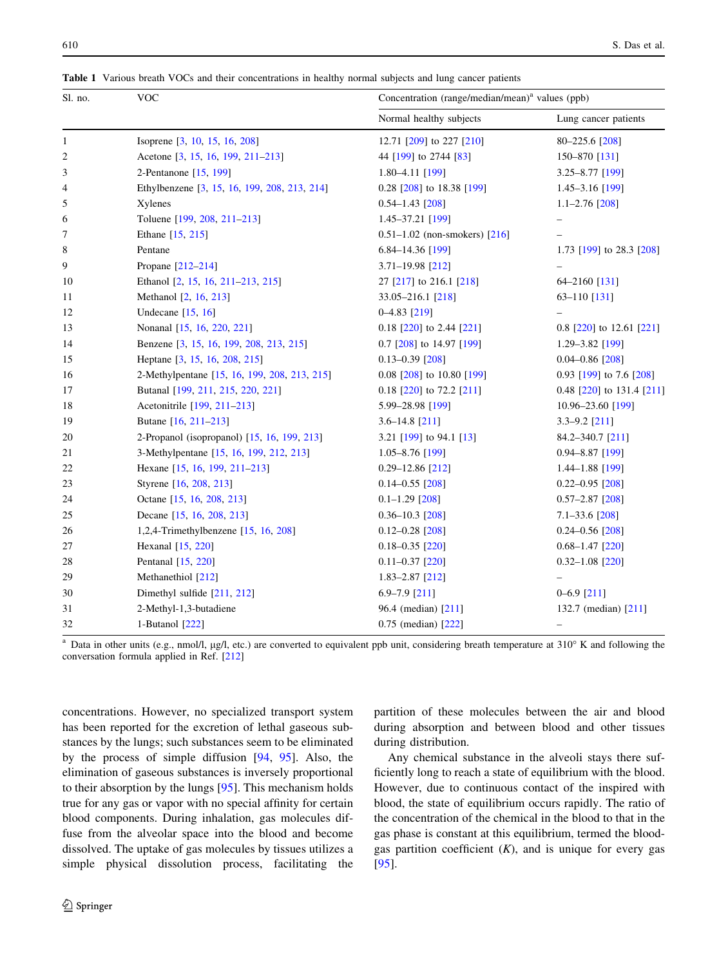| Sl. no.        | <b>VOC</b>                                   | Concentration (range/median/mean) <sup>a</sup> values (ppb) |                           |  |
|----------------|----------------------------------------------|-------------------------------------------------------------|---------------------------|--|
|                |                                              | Normal healthy subjects                                     | Lung cancer patients      |  |
| $\mathbf{1}$   | Isoprene [3, 10, 15, 16, 208]                | 12.71 [209] to 227 [210]                                    | 80-225.6 [208]            |  |
| $\overline{c}$ | Acetone [3, 15, 16, 199, 211-213]            | 44 [199] to 2744 [83]                                       | 150-870 [131]             |  |
| 3              | 2-Pentanone [15, 199]                        | 1.80-4.11 [199]                                             | 3.25-8.77 [199]           |  |
| 4              | Ethylbenzene [3, 15, 16, 199, 208, 213, 214] | 0.28 [208] to 18.38 [199]                                   | $1.45 - 3.16$ [199]       |  |
| 5              | Xylenes                                      | $0.54 - 1.43$ [208]                                         | $1.1 - 2.76$ [208]        |  |
| 6              | Toluene [199, 208, 211-213]                  | 1.45-37.21 [199]                                            |                           |  |
| 7              | Ethane [15, 215]                             | $0.51 - 1.02$ (non-smokers) [216]                           |                           |  |
| 8              | Pentane                                      | 6.84-14.36 [199]                                            | 1.73 [199] to 28.3 [208]  |  |
| 9              | Propane [212-214]                            | 3.71-19.98 [212]                                            |                           |  |
| 10             | Ethanol [2, 15, 16, 211-213, 215]            | 27 [217] to 216.1 [218]                                     | 64-2160 [131]             |  |
| 11             | Methanol [2, 16, 213]                        | 33.05-216.1 [218]                                           | $63 - 110$ [131]          |  |
| 12             | Undecane $[15, 16]$                          | $0-4.83$ [219]                                              |                           |  |
| 13             | Nonanal [15, 16, 220, 221]                   | $0.18$ [220] to 2.44 [221]                                  | 0.8 [220] to 12.61 [221]  |  |
| 14             | Benzene [3, 15, 16, 199, 208, 213, 215]      | 0.7 [208] to 14.97 [199]                                    | 1.29-3.82 [199]           |  |
| 15             | Heptane [3, 15, 16, 208, 215]                | $0.13 - 0.39$ [208]                                         | $0.04 - 0.86$ [208]       |  |
| 16             | 2-Methylpentane [15, 16, 199, 208, 213, 215] | 0.08 [208] to 10.80 [199]                                   | 0.93 [199] to 7.6 [208]   |  |
| 17             | Butanal [199, 211, 215, 220, 221]            | $0.18$ [220] to 72.2 [211]                                  | 0.48 [220] to 131.4 [211] |  |
| 18             | Acetonitrile [199, 211-213]                  | 5.99-28.98 [199]                                            | 10.96-23.60 [199]         |  |
| 19             | Butane [16, 211-213]                         | $3.6 - 14.8$ [211]                                          | $3.3 - 9.2$ [211]         |  |
| 20             | 2-Propanol (isopropanol) [15, 16, 199, 213]  | 3.21 [199] to 94.1 [13]                                     | 84.2-340.7 [211]          |  |
| 21             | 3-Methylpentane [15, 16, 199, 212, 213]      | $1.05 - 8.76$ [199]                                         | $0.94 - 8.87$ [199]       |  |
| 22             | Hexane [15, 16, 199, 211-213]                | $0.29 - 12.86$ [212]                                        | $1.44 - 1.88$ [199]       |  |
| 23             | Styrene [16, 208, 213]                       | $0.14 - 0.55$ [208]                                         | $0.22 - 0.95$ [208]       |  |
| 24             | Octane [15, 16, 208, 213]                    | $0.1 - 1.29$ [208]                                          | $0.57 - 2.87$ [208]       |  |
| 25             | Decane [15, 16, 208, 213]                    | $0.36 - 10.3$ [208]                                         | $7.1 - 33.6$ [208]        |  |
| 26             | 1,2,4-Trimethylbenzene $[15, 16, 208]$       | $0.12 - 0.28$ [208]                                         | $0.24 - 0.56$ [208]       |  |
| 27             | Hexanal [15, 220]                            | $0.18 - 0.35$ [220]                                         | $0.68 - 1.47$ [220]       |  |
| 28             | Pentanal [15, 220]                           | $0.11 - 0.37$ [220]                                         | $0.32 - 1.08$ [220]       |  |
| 29             | Methanethiol [212]                           | $1.83 - 2.87$ [212]                                         |                           |  |
| 30             | Dimethyl sulfide [211, 212]                  | $6.9 - 7.9$ [211]                                           | $0 - 6.9$ [211]           |  |
| 31             | 2-Methyl-1,3-butadiene                       | 96.4 (median) [211]                                         | 132.7 (median) [211]      |  |
| 32             | 1-Butanol [222]                              | 0.75 (median) [222]                                         | $\overline{\phantom{m}}$  |  |

<span id="page-5-0"></span>Table 1 Various breath VOCs and their concentrations in healthy normal subjects and lung cancer patients

 $a$  Data in other units (e.g., nmol/l, µg/l, etc.) are converted to equivalent ppb unit, considering breath temperature at 310 $\textdegree$  K and following the conversation formula applied in Ref. [\[212](#page-18-0)]

concentrations. However, no specialized transport system has been reported for the excretion of lethal gaseous substances by the lungs; such substances seem to be eliminated by the process of simple diffusion [[94,](#page-15-0) [95\]](#page-15-0). Also, the elimination of gaseous substances is inversely proportional to their absorption by the lungs [\[95](#page-15-0)]. This mechanism holds true for any gas or vapor with no special affinity for certain blood components. During inhalation, gas molecules diffuse from the alveolar space into the blood and become dissolved. The uptake of gas molecules by tissues utilizes a simple physical dissolution process, facilitating the partition of these molecules between the air and blood during absorption and between blood and other tissues during distribution.

Any chemical substance in the alveoli stays there sufficiently long to reach a state of equilibrium with the blood. However, due to continuous contact of the inspired with blood, the state of equilibrium occurs rapidly. The ratio of the concentration of the chemical in the blood to that in the gas phase is constant at this equilibrium, termed the bloodgas partition coefficient  $(K)$ , and is unique for every gas [\[95](#page-15-0)].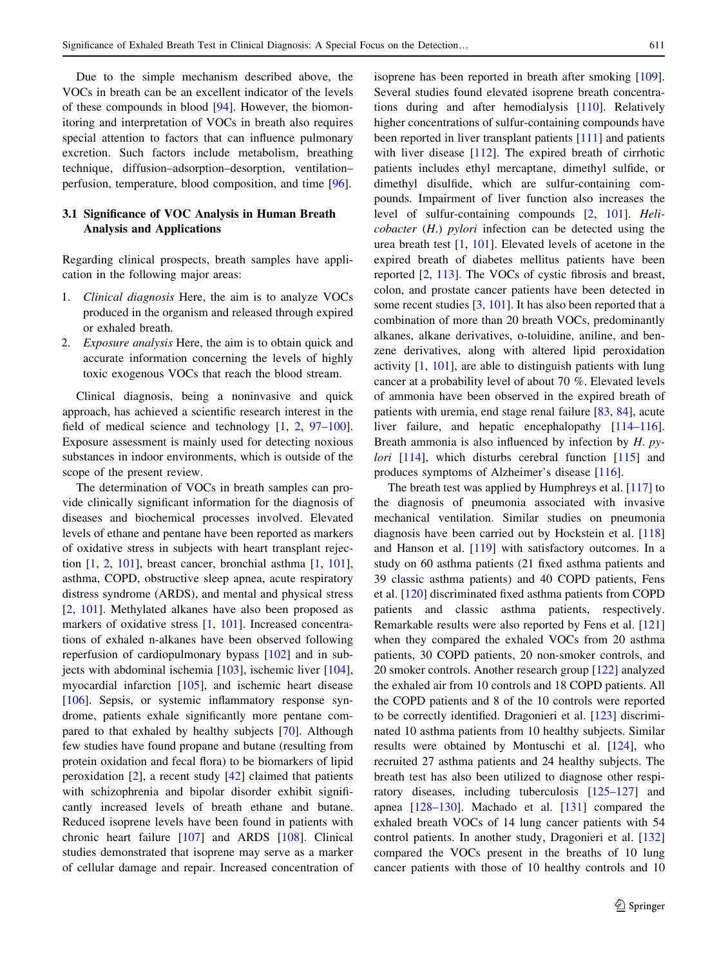Due to the simple mechanism described above, the VOCs in breath can be an excellent indicator of the levels of these compounds in blood [[94](#page-15-0)]. However, the biomonitoring and interpretation of VOCs in breath also requires special attention to factors that can influence pulmonary excretion. Such factors include metabolism, breathing technique, diffusion–adsorption–desorption, ventilation– perfusion, temperature, blood composition, and time [\[96](#page-15-0)].

## 3.1 Significance of VOC Analysis in Human Breath Analysis and Applications

Regarding clinical prospects, breath samples have application in the following major areas:

- 1. Clinical diagnosis Here, the aim is to analyze VOCs produced in the organism and released through expired or exhaled breath.
- 2. Exposure analysis Here, the aim is to obtain quick and accurate information concerning the levels of highly toxic exogenous VOCs that reach the blood stream.

Clinical diagnosis, being a noninvasive and quick approach, has achieved a scientific research interest in the field of medical science and technology  $[1, 2, 97-100]$  $[1, 2, 97-100]$  $[1, 2, 97-100]$  $[1, 2, 97-100]$  $[1, 2, 97-100]$ . Exposure assessment is mainly used for detecting noxious substances in indoor environments, which is outside of the scope of the present review.

The determination of VOCs in breath samples can provide clinically significant information for the diagnosis of diseases and biochemical processes involved. Elevated levels of ethane and pentane have been reported as markers of oxidative stress in subjects with heart transplant rejection [[1,](#page-12-0) [2,](#page-12-0) [101\]](#page-15-0), breast cancer, bronchial asthma [\[1](#page-12-0), [101](#page-15-0)], asthma, COPD, obstructive sleep apnea, acute respiratory distress syndrome (ARDS), and mental and physical stress [\[2](#page-12-0), [101\]](#page-15-0). Methylated alkanes have also been proposed as markers of oxidative stress [\[1](#page-12-0), [101](#page-15-0)]. Increased concentrations of exhaled n-alkanes have been observed following reperfusion of cardiopulmonary bypass [[102\]](#page-15-0) and in subjects with abdominal ischemia [[103\]](#page-15-0), ischemic liver [\[104](#page-15-0)], myocardial infarction [[105\]](#page-15-0), and ischemic heart disease [\[106](#page-15-0)]. Sepsis, or systemic inflammatory response syndrome, patients exhale significantly more pentane compared to that exhaled by healthy subjects [\[70](#page-14-0)]. Although few studies have found propane and butane (resulting from protein oxidation and fecal flora) to be biomarkers of lipid peroxidation [[2](#page-12-0)], a recent study [\[42](#page-13-0)] claimed that patients with schizophrenia and bipolar disorder exhibit significantly increased levels of breath ethane and butane. Reduced isoprene levels have been found in patients with chronic heart failure [\[107](#page-15-0)] and ARDS [\[108](#page-15-0)]. Clinical studies demonstrated that isoprene may serve as a marker of cellular damage and repair. Increased concentration of isoprene has been reported in breath after smoking [\[109](#page-15-0)]. Several studies found elevated isoprene breath concentrations during and after hemodialysis [\[110](#page-15-0)]. Relatively higher concentrations of sulfur-containing compounds have been reported in liver transplant patients [[111\]](#page-15-0) and patients with liver disease [[112\]](#page-15-0). The expired breath of cirrhotic patients includes ethyl mercaptane, dimethyl sulfide, or dimethyl disulfide, which are sulfur-containing compounds. Impairment of liver function also increases the level of sulfur-containing compounds [\[2](#page-12-0), [101\]](#page-15-0). Heli*cobacter*  $(H)$  *pylori* infection can be detected using the urea breath test [[1,](#page-12-0) [101](#page-15-0)]. Elevated levels of acetone in the expired breath of diabetes mellitus patients have been reported [\[2](#page-12-0), [113](#page-15-0)]. The VOCs of cystic fibrosis and breast, colon, and prostate cancer patients have been detected in some recent studies [[3,](#page-12-0) [101\]](#page-15-0). It has also been reported that a combination of more than 20 breath VOCs, predominantly alkanes, alkane derivatives, o-toluidine, aniline, and benzene derivatives, along with altered lipid peroxidation activity [[1,](#page-12-0) [101\]](#page-15-0), are able to distinguish patients with lung cancer at a probability level of about 70 %. Elevated levels of ammonia have been observed in the expired breath of patients with uremia, end stage renal failure [\[83](#page-15-0), [84](#page-15-0)], acute liver failure, and hepatic encephalopathy [\[114–116](#page-15-0)]. Breath ammonia is also influenced by infection by  $H$ . py*lori*  $[114]$  $[114]$ , which disturbs cerebral function  $[115]$  $[115]$  $[115]$  and produces symptoms of Alzheimer's disease [[116\]](#page-15-0).

The breath test was applied by Humphreys et al. [[117\]](#page-16-0) to the diagnosis of pneumonia associated with invasive mechanical ventilation. Similar studies on pneumonia diagnosis have been carried out by Hockstein et al. [[118\]](#page-16-0) and Hanson et al. [[119\]](#page-16-0) with satisfactory outcomes. In a study on 60 asthma patients (21 fixed asthma patients and 39 classic asthma patients) and 40 COPD patients, Fens et al. [\[120](#page-16-0)] discriminated fixed asthma patients from COPD patients and classic asthma patients, respectively. Remarkable results were also reported by Fens et al. [[121\]](#page-16-0) when they compared the exhaled VOCs from 20 asthma patients, 30 COPD patients, 20 non-smoker controls, and 20 smoker controls. Another research group [[122\]](#page-16-0) analyzed the exhaled air from 10 controls and 18 COPD patients. All the COPD patients and 8 of the 10 controls were reported to be correctly identified. Dragonieri et al. [\[123](#page-16-0)] discriminated 10 asthma patients from 10 healthy subjects. Similar results were obtained by Montuschi et al. [\[124](#page-16-0)], who recruited 27 asthma patients and 24 healthy subjects. The breath test has also been utilized to diagnose other respiratory diseases, including tuberculosis [\[125–127](#page-16-0)] and apnea [[128–130\]](#page-16-0). Machado et al. [[131\]](#page-16-0) compared the exhaled breath VOCs of 14 lung cancer patients with 54 control patients. In another study, Dragonieri et al. [[132\]](#page-16-0) compared the VOCs present in the breaths of 10 lung cancer patients with those of 10 healthy controls and 10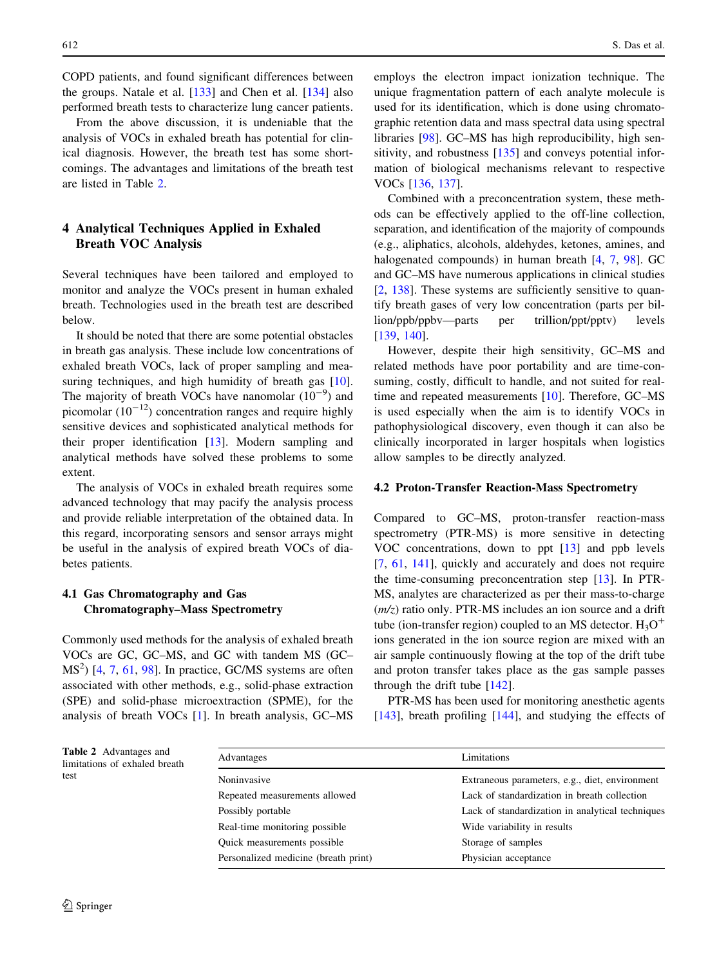COPD patients, and found significant differences between the groups. Natale et al. [\[133](#page-16-0)] and Chen et al. [\[134\]](#page-16-0) also performed breath tests to characterize lung cancer patients.

From the above discussion, it is undeniable that the analysis of VOCs in exhaled breath has potential for clinical diagnosis. However, the breath test has some shortcomings. The advantages and limitations of the breath test are listed in Table 2.

# 4 Analytical Techniques Applied in Exhaled Breath VOC Analysis

Several techniques have been tailored and employed to monitor and analyze the VOCs present in human exhaled breath. Technologies used in the breath test are described below.

It should be noted that there are some potential obstacles in breath gas analysis. These include low concentrations of exhaled breath VOCs, lack of proper sampling and mea-suring techniques, and high humidity of breath gas [\[10](#page-13-0)]. The majority of breath VOCs have nanomolar  $(10^{-9})$  and picomolar  $(10^{-12})$  concentration ranges and require highly sensitive devices and sophisticated analytical methods for their proper identification [\[13](#page-13-0)]. Modern sampling and analytical methods have solved these problems to some extent.

The analysis of VOCs in exhaled breath requires some advanced technology that may pacify the analysis process and provide reliable interpretation of the obtained data. In this regard, incorporating sensors and sensor arrays might be useful in the analysis of expired breath VOCs of diabetes patients.

## 4.1 Gas Chromatography and Gas Chromatography–Mass Spectrometry

Commonly used methods for the analysis of exhaled breath VOCs are GC, GC–MS, and GC with tandem MS (GC–  $MS<sup>2</sup>$ ) [[4,](#page-12-0) [7,](#page-12-0) [61](#page-14-0), [98](#page-15-0)]. In practice, GC/MS systems are often associated with other methods, e.g., solid-phase extraction (SPE) and solid-phase microextraction (SPME), for the analysis of breath VOCs [[1\]](#page-12-0). In breath analysis, GC–MS employs the electron impact ionization technique. The unique fragmentation pattern of each analyte molecule is used for its identification, which is done using chromatographic retention data and mass spectral data using spectral libraries [[98\]](#page-15-0). GC–MS has high reproducibility, high sensitivity, and robustness [[135\]](#page-16-0) and conveys potential information of biological mechanisms relevant to respective VOCs [[136,](#page-16-0) [137](#page-16-0)].

Combined with a preconcentration system, these methods can be effectively applied to the off-line collection, separation, and identification of the majority of compounds (e.g., aliphatics, alcohols, aldehydes, ketones, amines, and halogenated compounds) in human breath [[4,](#page-12-0) [7](#page-12-0), [98\]](#page-15-0). GC and GC–MS have numerous applications in clinical studies [\[2](#page-12-0), [138](#page-16-0)]. These systems are sufficiently sensitive to quantify breath gases of very low concentration (parts per billion/ppb/ppbv—parts per trillion/ppt/pptv) levels [\[139](#page-16-0), [140](#page-16-0)].

However, despite their high sensitivity, GC–MS and related methods have poor portability and are time-consuming, costly, difficult to handle, and not suited for realtime and repeated measurements [[10\]](#page-13-0). Therefore, GC–MS is used especially when the aim is to identify VOCs in pathophysiological discovery, even though it can also be clinically incorporated in larger hospitals when logistics allow samples to be directly analyzed.

#### 4.2 Proton-Transfer Reaction-Mass Spectrometry

Compared to GC–MS, proton-transfer reaction-mass spectrometry (PTR-MS) is more sensitive in detecting VOC concentrations, down to ppt [[13\]](#page-13-0) and ppb levels [\[7](#page-12-0), [61,](#page-14-0) [141](#page-16-0)], quickly and accurately and does not require the time-consuming preconcentration step [\[13](#page-13-0)]. In PTR-MS, analytes are characterized as per their mass-to-charge  $(m/z)$  ratio only. PTR-MS includes an ion source and a drift tube (ion-transfer region) coupled to an MS detector.  $H_3O^+$ ions generated in the ion source region are mixed with an air sample continuously flowing at the top of the drift tube and proton transfer takes place as the gas sample passes through the drift tube [[142\]](#page-16-0).

PTR-MS has been used for monitoring anesthetic agents [\[143](#page-16-0)], breath profiling [[144\]](#page-16-0), and studying the effects of

| Advantages                           | Limitations                                      |
|--------------------------------------|--------------------------------------------------|
| Noninvasive                          | Extraneous parameters, e.g., diet, environment   |
| Repeated measurements allowed        | Lack of standardization in breath collection     |
| Possibly portable                    | Lack of standardization in analytical techniques |
| Real-time monitoring possible        | Wide variability in results                      |
| Quick measurements possible          | Storage of samples                               |
| Personalized medicine (breath print) | Physician acceptance                             |
|                                      |                                                  |

Table 2 Advantages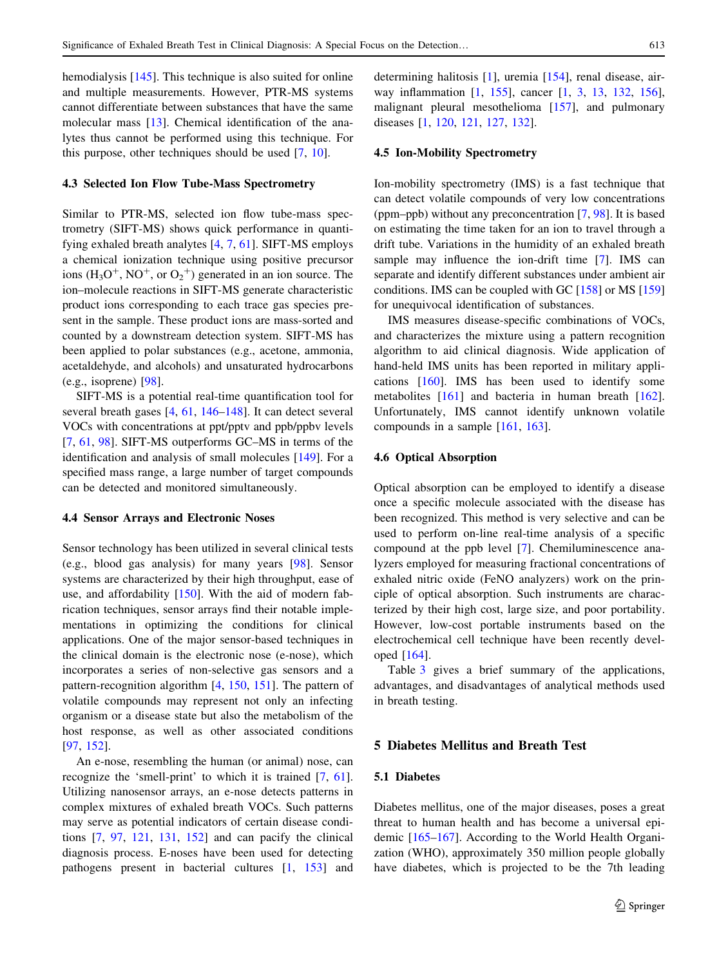hemodialysis [[145\]](#page-16-0). This technique is also suited for online and multiple measurements. However, PTR-MS systems cannot differentiate between substances that have the same molecular mass [[13\]](#page-13-0). Chemical identification of the analytes thus cannot be performed using this technique. For this purpose, other techniques should be used [[7,](#page-12-0) [10\]](#page-13-0).

#### 4.3 Selected Ion Flow Tube-Mass Spectrometry

Similar to PTR-MS, selected ion flow tube-mass spectrometry (SIFT-MS) shows quick performance in quantifying exhaled breath analytes [\[4](#page-12-0), [7,](#page-12-0) [61\]](#page-14-0). SIFT-MS employs a chemical ionization technique using positive precursor ions  $(H_3O^+, NO^+, or O_2^+)$  generated in an ion source. The ion–molecule reactions in SIFT-MS generate characteristic product ions corresponding to each trace gas species present in the sample. These product ions are mass-sorted and counted by a downstream detection system. SIFT-MS has been applied to polar substances (e.g., acetone, ammonia, acetaldehyde, and alcohols) and unsaturated hydrocarbons (e.g., isoprene) [\[98](#page-15-0)].

SIFT-MS is a potential real-time quantification tool for several breath gases [\[4](#page-12-0), [61,](#page-14-0) [146](#page-16-0)[–148](#page-17-0)]. It can detect several VOCs with concentrations at ppt/pptv and ppb/ppbv levels [\[7](#page-12-0), [61,](#page-14-0) [98\]](#page-15-0). SIFT-MS outperforms GC–MS in terms of the identification and analysis of small molecules [[149\]](#page-17-0). For a specified mass range, a large number of target compounds can be detected and monitored simultaneously.

#### 4.4 Sensor Arrays and Electronic Noses

Sensor technology has been utilized in several clinical tests (e.g., blood gas analysis) for many years [[98\]](#page-15-0). Sensor systems are characterized by their high throughput, ease of use, and affordability [\[150](#page-17-0)]. With the aid of modern fabrication techniques, sensor arrays find their notable implementations in optimizing the conditions for clinical applications. One of the major sensor-based techniques in the clinical domain is the electronic nose (e-nose), which incorporates a series of non-selective gas sensors and a pattern-recognition algorithm [\[4](#page-12-0), [150,](#page-17-0) [151](#page-17-0)]. The pattern of volatile compounds may represent not only an infecting organism or a disease state but also the metabolism of the host response, as well as other associated conditions [\[97](#page-15-0), [152](#page-17-0)].

An e-nose, resembling the human (or animal) nose, can recognize the 'smell-print' to which it is trained [[7,](#page-12-0) [61](#page-14-0)]. Utilizing nanosensor arrays, an e-nose detects patterns in complex mixtures of exhaled breath VOCs. Such patterns may serve as potential indicators of certain disease conditions [\[7](#page-12-0), [97,](#page-15-0) [121,](#page-16-0) [131,](#page-16-0) [152](#page-17-0)] and can pacify the clinical diagnosis process. E-noses have been used for detecting pathogens present in bacterial cultures [\[1](#page-12-0), [153](#page-17-0)] and determining halitosis [\[1](#page-12-0)], uremia [\[154](#page-17-0)], renal disease, airway inflammation [[1,](#page-12-0) [155\]](#page-17-0), cancer [\[1](#page-12-0), [3](#page-12-0), [13](#page-13-0), [132](#page-16-0), [156](#page-17-0)], malignant pleural mesothelioma [[157\]](#page-17-0), and pulmonary diseases [[1,](#page-12-0) [120](#page-16-0), [121](#page-16-0), [127,](#page-16-0) [132\]](#page-16-0).

## 4.5 Ion-Mobility Spectrometry

Ion-mobility spectrometry (IMS) is a fast technique that can detect volatile compounds of very low concentrations (ppm–ppb) without any preconcentration [[7,](#page-12-0) [98\]](#page-15-0). It is based on estimating the time taken for an ion to travel through a drift tube. Variations in the humidity of an exhaled breath sample may influence the ion-drift time [\[7](#page-12-0)]. IMS can separate and identify different substances under ambient air conditions. IMS can be coupled with GC [[158\]](#page-17-0) or MS [[159\]](#page-17-0) for unequivocal identification of substances.

IMS measures disease-specific combinations of VOCs, and characterizes the mixture using a pattern recognition algorithm to aid clinical diagnosis. Wide application of hand-held IMS units has been reported in military applications [\[160\]](#page-17-0). IMS has been used to identify some metabolites [\[161](#page-17-0)] and bacteria in human breath [\[162](#page-17-0)]. Unfortunately, IMS cannot identify unknown volatile compounds in a sample [\[161](#page-17-0), [163](#page-17-0)].

## 4.6 Optical Absorption

Optical absorption can be employed to identify a disease once a specific molecule associated with the disease has been recognized. This method is very selective and can be used to perform on-line real-time analysis of a specific compound at the ppb level [[7\]](#page-12-0). Chemiluminescence analyzers employed for measuring fractional concentrations of exhaled nitric oxide (FeNO analyzers) work on the principle of optical absorption. Such instruments are characterized by their high cost, large size, and poor portability. However, low-cost portable instruments based on the electrochemical cell technique have been recently developed [\[164](#page-17-0)].

Table [3](#page-9-0) gives a brief summary of the applications, advantages, and disadvantages of analytical methods used in breath testing.

## 5 Diabetes Mellitus and Breath Test

# 5.1 Diabetes

Diabetes mellitus, one of the major diseases, poses a great threat to human health and has become a universal epidemic [\[165–167](#page-17-0)]. According to the World Health Organization (WHO), approximately 350 million people globally have diabetes, which is projected to be the 7th leading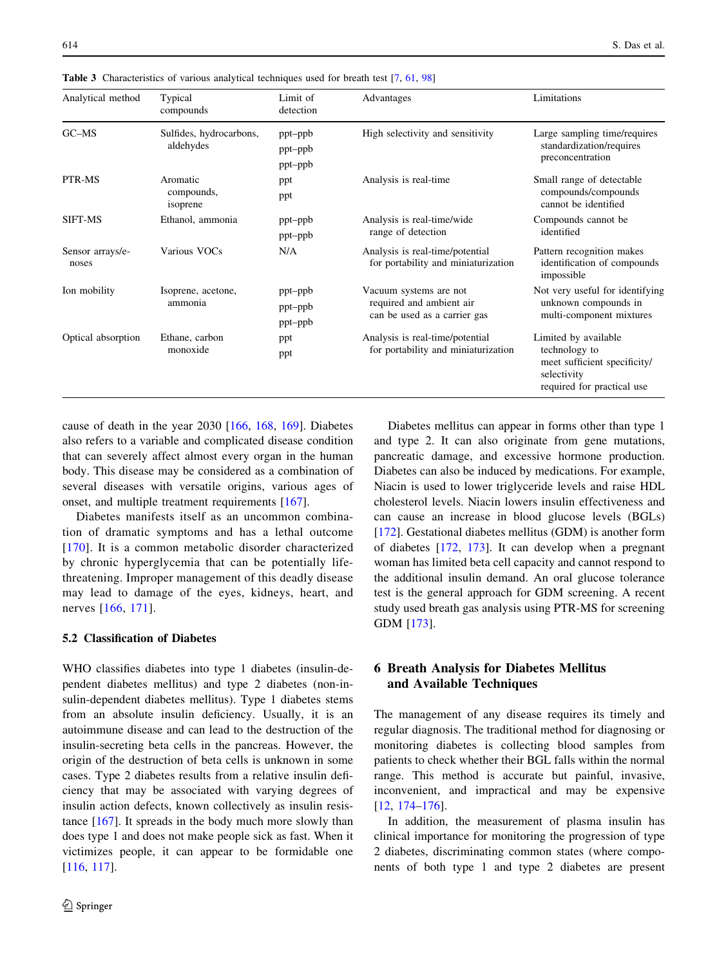| Analytical method         | Typical<br>compounds                 | Limit of<br>detection         | Advantages                                                                         | Limitations                                                                                                        |
|---------------------------|--------------------------------------|-------------------------------|------------------------------------------------------------------------------------|--------------------------------------------------------------------------------------------------------------------|
| $G$ C $-M$ S              | Sulfides, hydrocarbons,<br>aldehydes | ppt-ppb<br>ppt-ppb<br>ppt-ppb | High selectivity and sensitivity                                                   | Large sampling time/requires<br>standardization/requires<br>preconcentration                                       |
| PTR-MS                    | Aromatic<br>compounds,<br>isoprene   | ppt<br>ppt                    | Analysis is real-time                                                              | Small range of detectable<br>compounds/compounds<br>cannot be identified                                           |
| SIFT-MS                   | Ethanol, ammonia                     | ppt-ppb<br>ppt-ppb            | Analysis is real-time/wide<br>range of detection                                   | Compounds cannot be<br>identified                                                                                  |
| Sensor arrays/e-<br>noses | Various VOCs                         | N/A                           | Analysis is real-time/potential<br>for portability and miniaturization             | Pattern recognition makes<br>identification of compounds<br>impossible                                             |
| Ion mobility              | Isoprene, acetone,<br>ammonia        | ppt-ppb<br>ppt-ppb<br>ppt-ppb | Vacuum systems are not<br>required and ambient air<br>can be used as a carrier gas | Not very useful for identifying<br>unknown compounds in<br>multi-component mixtures                                |
| Optical absorption        | Ethane, carbon<br>monoxide           | ppt<br>ppt                    | Analysis is real-time/potential<br>for portability and miniaturization             | Limited by available<br>technology to<br>meet sufficient specificity/<br>selectivity<br>required for practical use |

<span id="page-9-0"></span>Table 3 Characteristics of various analytical techniques used for breath test [[7,](#page-12-0) [61](#page-14-0), [98\]](#page-15-0)

cause of death in the year 2030 [\[166](#page-17-0), [168,](#page-17-0) [169\]](#page-17-0). Diabetes also refers to a variable and complicated disease condition that can severely affect almost every organ in the human body. This disease may be considered as a combination of several diseases with versatile origins, various ages of onset, and multiple treatment requirements [[167\]](#page-17-0).

Diabetes manifests itself as an uncommon combination of dramatic symptoms and has a lethal outcome [[170\]](#page-17-0). It is a common metabolic disorder characterized by chronic hyperglycemia that can be potentially lifethreatening. Improper management of this deadly disease may lead to damage of the eyes, kidneys, heart, and nerves [[166](#page-17-0), [171\]](#page-17-0).

## 5.2 Classification of Diabetes

WHO classifies diabetes into type 1 diabetes (insulin-dependent diabetes mellitus) and type 2 diabetes (non-insulin-dependent diabetes mellitus). Type 1 diabetes stems from an absolute insulin deficiency. Usually, it is an autoimmune disease and can lead to the destruction of the insulin-secreting beta cells in the pancreas. However, the origin of the destruction of beta cells is unknown in some cases. Type 2 diabetes results from a relative insulin deficiency that may be associated with varying degrees of insulin action defects, known collectively as insulin resistance [[167\]](#page-17-0). It spreads in the body much more slowly than does type 1 and does not make people sick as fast. When it victimizes people, it can appear to be formidable one [\[116](#page-15-0), [117](#page-16-0)].

Diabetes mellitus can appear in forms other than type 1 and type 2. It can also originate from gene mutations, pancreatic damage, and excessive hormone production. Diabetes can also be induced by medications. For example, Niacin is used to lower triglyceride levels and raise HDL cholesterol levels. Niacin lowers insulin effectiveness and can cause an increase in blood glucose levels (BGLs) [\[172](#page-17-0)]. Gestational diabetes mellitus (GDM) is another form of diabetes [\[172](#page-17-0), [173](#page-17-0)]. It can develop when a pregnant woman has limited beta cell capacity and cannot respond to the additional insulin demand. An oral glucose tolerance test is the general approach for GDM screening. A recent study used breath gas analysis using PTR-MS for screening GDM [[173\]](#page-17-0).

# 6 Breath Analysis for Diabetes Mellitus and Available Techniques

The management of any disease requires its timely and regular diagnosis. The traditional method for diagnosing or monitoring diabetes is collecting blood samples from patients to check whether their BGL falls within the normal range. This method is accurate but painful, invasive, inconvenient, and impractical and may be expensive [\[12](#page-13-0), [174–176](#page-17-0)].

In addition, the measurement of plasma insulin has clinical importance for monitoring the progression of type 2 diabetes, discriminating common states (where components of both type 1 and type 2 diabetes are present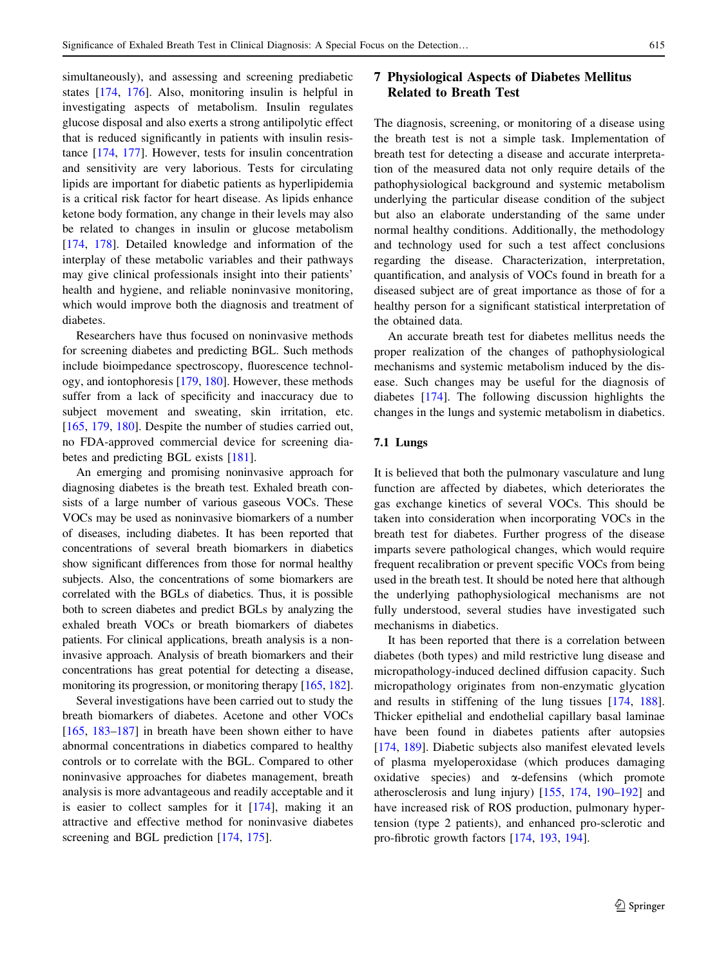simultaneously), and assessing and screening prediabetic states [\[174](#page-17-0), [176\]](#page-17-0). Also, monitoring insulin is helpful in investigating aspects of metabolism. Insulin regulates glucose disposal and also exerts a strong antilipolytic effect that is reduced significantly in patients with insulin resistance [\[174](#page-17-0), [177](#page-17-0)]. However, tests for insulin concentration and sensitivity are very laborious. Tests for circulating lipids are important for diabetic patients as hyperlipidemia is a critical risk factor for heart disease. As lipids enhance ketone body formation, any change in their levels may also be related to changes in insulin or glucose metabolism [\[174](#page-17-0), [178\]](#page-17-0). Detailed knowledge and information of the interplay of these metabolic variables and their pathways may give clinical professionals insight into their patients' health and hygiene, and reliable noninvasive monitoring, which would improve both the diagnosis and treatment of diabetes.

Researchers have thus focused on noninvasive methods for screening diabetes and predicting BGL. Such methods include bioimpedance spectroscopy, fluorescence technology, and iontophoresis [\[179](#page-17-0), [180](#page-17-0)]. However, these methods suffer from a lack of specificity and inaccuracy due to subject movement and sweating, skin irritation, etc. [\[165](#page-17-0), [179,](#page-17-0) [180](#page-17-0)]. Despite the number of studies carried out, no FDA-approved commercial device for screening diabetes and predicting BGL exists [\[181](#page-17-0)].

An emerging and promising noninvasive approach for diagnosing diabetes is the breath test. Exhaled breath consists of a large number of various gaseous VOCs. These VOCs may be used as noninvasive biomarkers of a number of diseases, including diabetes. It has been reported that concentrations of several breath biomarkers in diabetics show significant differences from those for normal healthy subjects. Also, the concentrations of some biomarkers are correlated with the BGLs of diabetics. Thus, it is possible both to screen diabetes and predict BGLs by analyzing the exhaled breath VOCs or breath biomarkers of diabetes patients. For clinical applications, breath analysis is a noninvasive approach. Analysis of breath biomarkers and their concentrations has great potential for detecting a disease, monitoring its progression, or monitoring therapy [\[165](#page-17-0), [182](#page-17-0)].

Several investigations have been carried out to study the breath biomarkers of diabetes. Acetone and other VOCs [\[165](#page-17-0), [183](#page-17-0)[–187](#page-18-0)] in breath have been shown either to have abnormal concentrations in diabetics compared to healthy controls or to correlate with the BGL. Compared to other noninvasive approaches for diabetes management, breath analysis is more advantageous and readily acceptable and it is easier to collect samples for it [[174\]](#page-17-0), making it an attractive and effective method for noninvasive diabetes screening and BGL prediction [\[174](#page-17-0), [175\]](#page-17-0).

# 7 Physiological Aspects of Diabetes Mellitus Related to Breath Test

The diagnosis, screening, or monitoring of a disease using the breath test is not a simple task. Implementation of breath test for detecting a disease and accurate interpretation of the measured data not only require details of the pathophysiological background and systemic metabolism underlying the particular disease condition of the subject but also an elaborate understanding of the same under normal healthy conditions. Additionally, the methodology and technology used for such a test affect conclusions regarding the disease. Characterization, interpretation, quantification, and analysis of VOCs found in breath for a diseased subject are of great importance as those of for a healthy person for a significant statistical interpretation of the obtained data.

An accurate breath test for diabetes mellitus needs the proper realization of the changes of pathophysiological mechanisms and systemic metabolism induced by the disease. Such changes may be useful for the diagnosis of diabetes [[174\]](#page-17-0). The following discussion highlights the changes in the lungs and systemic metabolism in diabetics.

#### 7.1 Lungs

It is believed that both the pulmonary vasculature and lung function are affected by diabetes, which deteriorates the gas exchange kinetics of several VOCs. This should be taken into consideration when incorporating VOCs in the breath test for diabetes. Further progress of the disease imparts severe pathological changes, which would require frequent recalibration or prevent specific VOCs from being used in the breath test. It should be noted here that although the underlying pathophysiological mechanisms are not fully understood, several studies have investigated such mechanisms in diabetics.

It has been reported that there is a correlation between diabetes (both types) and mild restrictive lung disease and micropathology-induced declined diffusion capacity. Such micropathology originates from non-enzymatic glycation and results in stiffening of the lung tissues [\[174,](#page-17-0) [188](#page-18-0)]. Thicker epithelial and endothelial capillary basal laminae have been found in diabetes patients after autopsies [\[174](#page-17-0), [189](#page-18-0)]. Diabetic subjects also manifest elevated levels of plasma myeloperoxidase (which produces damaging oxidative species) and  $\alpha$ -defensins (which promote atherosclerosis and lung injury) [[155](#page-17-0), [174,](#page-17-0) [190–192](#page-18-0)] and have increased risk of ROS production, pulmonary hypertension (type 2 patients), and enhanced pro-sclerotic and pro-fibrotic growth factors [\[174](#page-17-0), [193](#page-18-0), [194](#page-18-0)].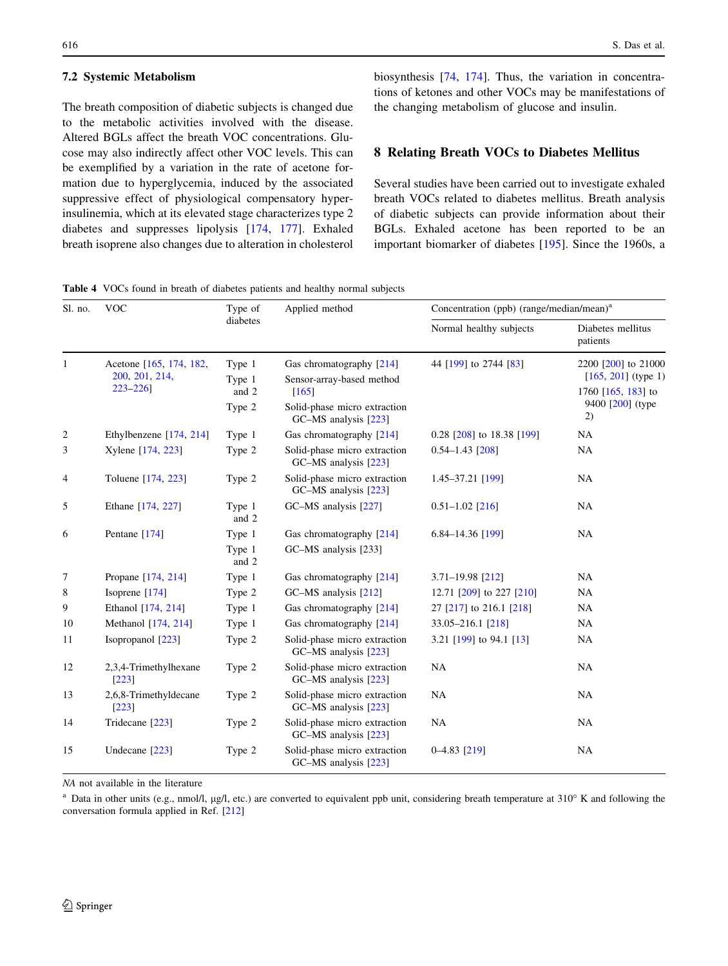## <span id="page-11-0"></span>7.2 Systemic Metabolism

The breath composition of diabetic subjects is changed due to the metabolic activities involved with the disease. Altered BGLs affect the breath VOC concentrations. Glucose may also indirectly affect other VOC levels. This can be exemplified by a variation in the rate of acetone formation due to hyperglycemia, induced by the associated suppressive effect of physiological compensatory hyperinsulinemia, which at its elevated stage characterizes type 2 diabetes and suppresses lipolysis [[174,](#page-17-0) [177\]](#page-17-0). Exhaled breath isoprene also changes due to alteration in cholesterol biosynthesis [\[74](#page-14-0), [174](#page-17-0)]. Thus, the variation in concentrations of ketones and other VOCs may be manifestations of the changing metabolism of glucose and insulin.

## 8 Relating Breath VOCs to Diabetes Mellitus

Several studies have been carried out to investigate exhaled breath VOCs related to diabetes mellitus. Breath analysis of diabetic subjects can provide information about their BGLs. Exhaled acetone has been reported to be an important biomarker of diabetes [\[195](#page-18-0)]. Since the 1960s, a

Table 4 VOCs found in breath of diabetes patients and healthy normal subjects

| Sl. no.      | <b>VOC</b>                                               | Type of                             | Applied method                                                                                                                       | Concentration (ppb) (range/median/mean) <sup>a</sup> |                                                                                                |  |
|--------------|----------------------------------------------------------|-------------------------------------|--------------------------------------------------------------------------------------------------------------------------------------|------------------------------------------------------|------------------------------------------------------------------------------------------------|--|
|              |                                                          | diabetes                            |                                                                                                                                      | Normal healthy subjects                              | Diabetes mellitus<br>patients                                                                  |  |
| $\mathbf{1}$ | Acetone [165, 174, 182,<br>200, 201, 214,<br>$223 - 226$ | Type 1<br>Type 1<br>and 2<br>Type 2 | Gas chromatography [214]<br>Sensor-array-based method<br>$\lceil 165 \rceil$<br>Solid-phase micro extraction<br>GC-MS analysis [223] | 44 [199] to 2744 [83]                                | 2200 [200] to 21000<br>$[165, 201]$ (type 1)<br>1760 $[165, 183]$ to<br>9400 [200] (type<br>2) |  |
| 2            | Ethylbenzene [174, 214]                                  | Type 1                              | Gas chromatography [214]                                                                                                             | 0.28 [208] to 18.38 [199]                            | NA                                                                                             |  |
| 3            | Xylene [174, 223]                                        | Type 2                              | Solid-phase micro extraction<br>GC-MS analysis [223]                                                                                 | $0.54 - 1.43$ [208]                                  | <b>NA</b>                                                                                      |  |
| 4            | Toluene [174, 223]                                       | Type 2                              | Solid-phase micro extraction<br>GC-MS analysis [223]                                                                                 | 1.45-37.21 [199]                                     | <b>NA</b>                                                                                      |  |
| 5            | Ethane [174, 227]                                        | Type 1<br>and 2                     | GC-MS analysis [227]                                                                                                                 | $0.51 - 1.02$ [216]                                  | <b>NA</b>                                                                                      |  |
| 6            | Pentane [174]                                            | Type 1<br>Type 1<br>and 2           | Gas chromatography [214]<br>GC-MS analysis [233]                                                                                     | 6.84-14.36 [199]                                     | <b>NA</b>                                                                                      |  |
| 7            | Propane [174, 214]                                       | Type 1                              | Gas chromatography [214]                                                                                                             | 3.71-19.98 [212]                                     | <b>NA</b>                                                                                      |  |
| 8            | Isoprene $[174]$                                         | Type 2                              | GC-MS analysis [212]                                                                                                                 | 12.71 [209] to 227 [210]                             | NA                                                                                             |  |
| 9            | Ethanol [174, 214]                                       | Type 1                              | Gas chromatography [214]                                                                                                             | 27 [217] to 216.1 [218]                              | <b>NA</b>                                                                                      |  |
| 10           | Methanol [174, 214]                                      | Type 1                              | Gas chromatography [214]                                                                                                             | 33.05-216.1 [218]                                    | <b>NA</b>                                                                                      |  |
| 11           | Isopropanol [223]                                        | Type 2                              | Solid-phase micro extraction<br>GC-MS analysis [223]                                                                                 | 3.21 [199] to 94.1 [13]                              | <b>NA</b>                                                                                      |  |
| 12           | 2,3,4-Trimethylhexane<br>$[223]$                         | Type 2                              | Solid-phase micro extraction<br>GC-MS analysis [223]                                                                                 | NA                                                   | NA                                                                                             |  |
| 13           | 2,6,8-Trimethyldecane<br>[223]                           | Type 2                              | Solid-phase micro extraction<br>GC-MS analysis [223]                                                                                 | <b>NA</b>                                            | <b>NA</b>                                                                                      |  |
| 14           | Tridecane [223]                                          | Type 2                              | Solid-phase micro extraction<br>GC-MS analysis [223]                                                                                 | <b>NA</b>                                            | <b>NA</b>                                                                                      |  |
| 15           | Undecane [223]                                           | Type 2                              | Solid-phase micro extraction<br>GC-MS analysis [223]                                                                                 | $0-4.83$ [219]                                       | <b>NA</b>                                                                                      |  |

NA not available in the literature

<sup>a</sup> Data in other units (e.g., nmol/l,  $\mu g/l$ , etc.) are converted to equivalent ppb unit, considering breath temperature at  $310^{\circ}$  K and following the conversation formula applied in Ref. [[212](#page-18-0)]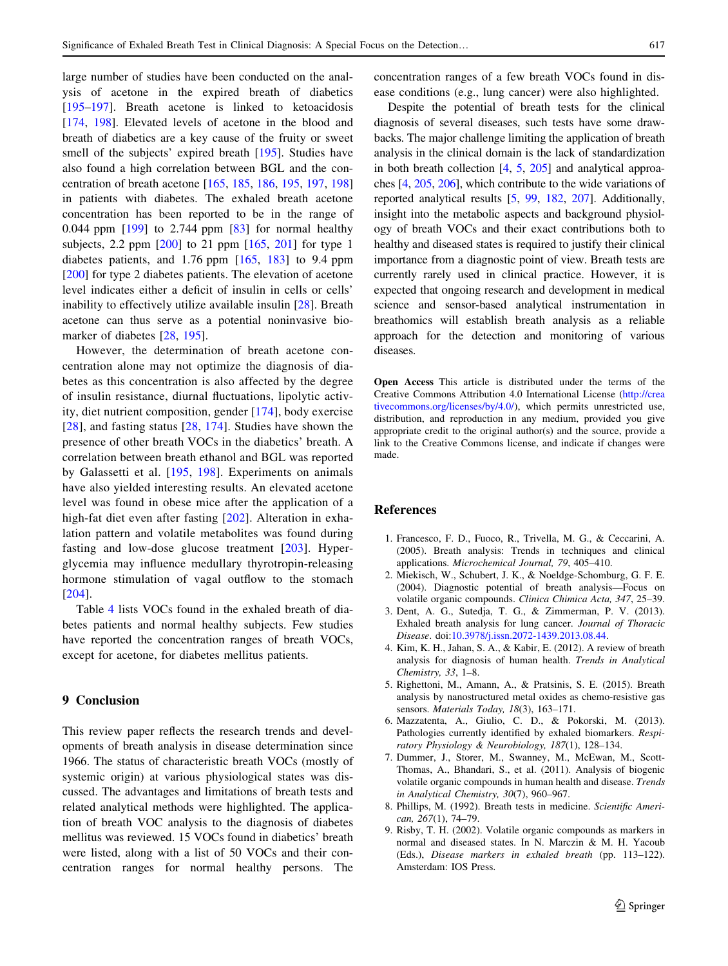<span id="page-12-0"></span>large number of studies have been conducted on the analysis of acetone in the expired breath of diabetics [\[195–197](#page-18-0)]. Breath acetone is linked to ketoacidosis [\[174](#page-17-0), [198](#page-18-0)]. Elevated levels of acetone in the blood and breath of diabetics are a key cause of the fruity or sweet smell of the subjects' expired breath [[195\]](#page-18-0). Studies have also found a high correlation between BGL and the concentration of breath acetone [[165,](#page-17-0) [185,](#page-18-0) [186](#page-18-0), [195](#page-18-0), [197,](#page-18-0) [198\]](#page-18-0) in patients with diabetes. The exhaled breath acetone concentration has been reported to be in the range of 0.044 ppm [[199\]](#page-18-0) to 2.744 ppm [\[83](#page-15-0)] for normal healthy subjects, 2.2 ppm  $[200]$  $[200]$  to 21 ppm  $[165, 201]$  $[165, 201]$  $[165, 201]$  for type 1 diabetes patients, and 1.76 ppm [[165,](#page-17-0) [183\]](#page-17-0) to 9.4 ppm [\[200](#page-18-0)] for type 2 diabetes patients. The elevation of acetone level indicates either a deficit of insulin in cells or cells' inability to effectively utilize available insulin [[28\]](#page-13-0). Breath acetone can thus serve as a potential noninvasive biomarker of diabetes [[28,](#page-13-0) [195\]](#page-18-0).

However, the determination of breath acetone concentration alone may not optimize the diagnosis of diabetes as this concentration is also affected by the degree of insulin resistance, diurnal fluctuations, lipolytic activity, diet nutrient composition, gender [[174](#page-17-0)], body exercise [\[28\]](#page-13-0), and fasting status [[28](#page-13-0), [174\]](#page-17-0). Studies have shown the presence of other breath VOCs in the diabetics' breath. A correlation between breath ethanol and BGL was reported by Galassetti et al. [\[195,](#page-18-0) [198\]](#page-18-0). Experiments on animals have also yielded interesting results. An elevated acetone level was found in obese mice after the application of a high-fat diet even after fasting [\[202\]](#page-18-0). Alteration in exhalation pattern and volatile metabolites was found during fasting and low-dose glucose treatment [\[203\]](#page-18-0). Hyperglycemia may influence medullary thyrotropin-releasing hormone stimulation of vagal outflow to the stomach [\[204\]](#page-18-0).

Table [4](#page-11-0) lists VOCs found in the exhaled breath of diabetes patients and normal healthy subjects. Few studies have reported the concentration ranges of breath VOCs, except for acetone, for diabetes mellitus patients.

# 9 Conclusion

This review paper reflects the research trends and developments of breath analysis in disease determination since 1966. The status of characteristic breath VOCs (mostly of systemic origin) at various physiological states was discussed. The advantages and limitations of breath tests and related analytical methods were highlighted. The application of breath VOC analysis to the diagnosis of diabetes mellitus was reviewed. 15 VOCs found in diabetics' breath were listed, along with a list of 50 VOCs and their concentration ranges for normal healthy persons. The concentration ranges of a few breath VOCs found in disease conditions (e.g., lung cancer) were also highlighted.

Despite the potential of breath tests for the clinical diagnosis of several diseases, such tests have some drawbacks. The major challenge limiting the application of breath analysis in the clinical domain is the lack of standardization in both breath collection  $[4, 5, 205]$  $[4, 5, 205]$  $[4, 5, 205]$  and analytical approaches [4, [205](#page-18-0), [206\]](#page-18-0), which contribute to the wide variations of reported analytical results [5, [99,](#page-15-0) [182](#page-17-0), [207\]](#page-18-0). Additionally, insight into the metabolic aspects and background physiology of breath VOCs and their exact contributions both to healthy and diseased states is required to justify their clinical importance from a diagnostic point of view. Breath tests are currently rarely used in clinical practice. However, it is expected that ongoing research and development in medical science and sensor-based analytical instrumentation in breathomics will establish breath analysis as a reliable approach for the detection and monitoring of various diseases.

Open Access This article is distributed under the terms of the Creative Commons Attribution 4.0 International License ([http://crea](http://creativecommons.org/licenses/by/4.0/) [tivecommons.org/licenses/by/4.0/\)](http://creativecommons.org/licenses/by/4.0/), which permits unrestricted use, distribution, and reproduction in any medium, provided you give appropriate credit to the original author(s) and the source, provide a link to the Creative Commons license, and indicate if changes were made.

## References

- 1. Francesco, F. D., Fuoco, R., Trivella, M. G., & Ceccarini, A. (2005). Breath analysis: Trends in techniques and clinical applications. Microchemical Journal, 79, 405–410.
- 2. Miekisch, W., Schubert, J. K., & Noeldge-Schomburg, G. F. E. (2004). Diagnostic potential of breath analysis—Focus on volatile organic compounds. Clinica Chimica Acta, 347, 25–39.
- 3. Dent, A. G., Sutedja, T. G., & Zimmerman, P. V. (2013). Exhaled breath analysis for lung cancer. Journal of Thoracic Disease. doi:[10.3978/j.issn.2072-1439.2013.08.44](http://dx.doi.org/10.3978/j.issn.2072-1439.2013.08.44).
- 4. Kim, K. H., Jahan, S. A., & Kabir, E. (2012). A review of breath analysis for diagnosis of human health. Trends in Analytical Chemistry, 33, 1–8.
- 5. Righettoni, M., Amann, A., & Pratsinis, S. E. (2015). Breath analysis by nanostructured metal oxides as chemo-resistive gas sensors. Materials Today, 18(3), 163-171.
- 6. Mazzatenta, A., Giulio, C. D., & Pokorski, M. (2013). Pathologies currently identified by exhaled biomarkers. Respiratory Physiology & Neurobiology, 187(1), 128–134.
- 7. Dummer, J., Storer, M., Swanney, M., McEwan, M., Scott-Thomas, A., Bhandari, S., et al. (2011). Analysis of biogenic volatile organic compounds in human health and disease. Trends in Analytical Chemistry, 30(7), 960–967.
- 8. Phillips, M. (1992). Breath tests in medicine. Scientific American, 267(1), 74–79.
- 9. Risby, T. H. (2002). Volatile organic compounds as markers in normal and diseased states. In N. Marczin & M. H. Yacoub (Eds.), Disease markers in exhaled breath (pp. 113–122). Amsterdam: IOS Press.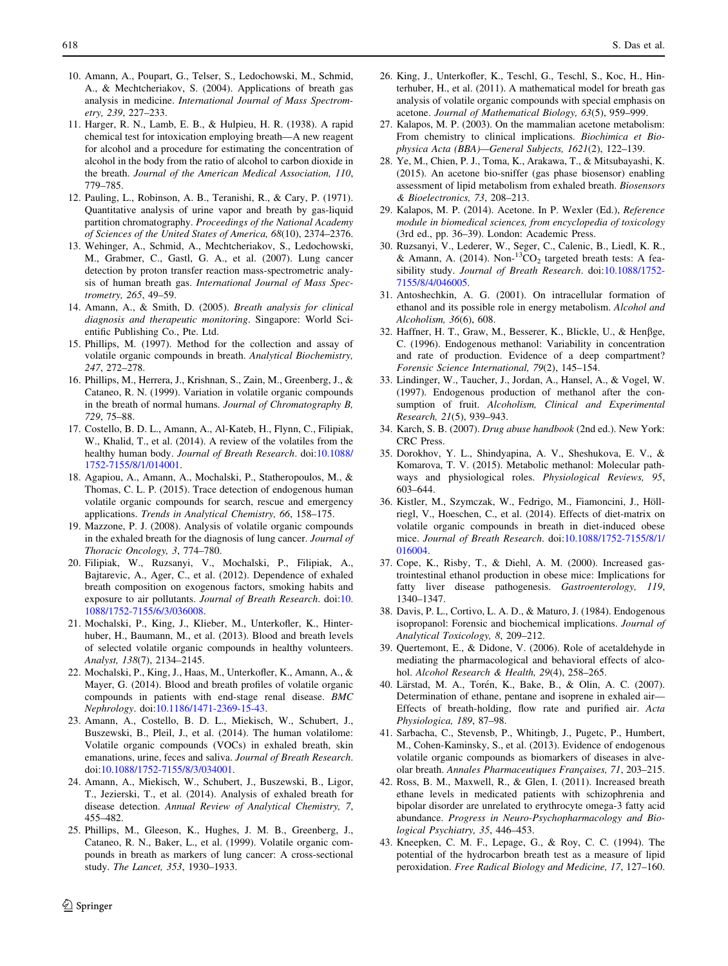- <span id="page-13-0"></span>10. Amann, A., Poupart, G., Telser, S., Ledochowski, M., Schmid, A., & Mechtcheriakov, S. (2004). Applications of breath gas analysis in medicine. International Journal of Mass Spectrometry, 239, 227–233.
- 11. Harger, R. N., Lamb, E. B., & Hulpieu, H. R. (1938). A rapid chemical test for intoxication employing breath—A new reagent for alcohol and a procedure for estimating the concentration of alcohol in the body from the ratio of alcohol to carbon dioxide in the breath. Journal of the American Medical Association, 110, 779–785.
- 12. Pauling, L., Robinson, A. B., Teranishi, R., & Cary, P. (1971). Quantitative analysis of urine vapor and breath by gas-liquid partition chromatography. Proceedings of the National Academy of Sciences of the United States of America, 68(10), 2374–2376.
- 13. Wehinger, A., Schmid, A., Mechtcheriakov, S., Ledochowski, M., Grabmer, C., Gastl, G. A., et al. (2007). Lung cancer detection by proton transfer reaction mass-spectrometric analysis of human breath gas. International Journal of Mass Spectrometry, 265, 49–59.
- 14. Amann, A., & Smith, D. (2005). Breath analysis for clinical diagnosis and therapeutic monitoring. Singapore: World Scientific Publishing Co., Pte. Ltd.
- 15. Phillips, M. (1997). Method for the collection and assay of volatile organic compounds in breath. Analytical Biochemistry, 247, 272–278.
- 16. Phillips, M., Herrera, J., Krishnan, S., Zain, M., Greenberg, J., & Cataneo, R. N. (1999). Variation in volatile organic compounds in the breath of normal humans. Journal of Chromatography B, 729, 75–88.
- 17. Costello, B. D. L., Amann, A., Al-Kateb, H., Flynn, C., Filipiak, W., Khalid, T., et al. (2014). A review of the volatiles from the healthy human body. Journal of Breath Research. doi[:10.1088/](http://dx.doi.org/10.1088/1752-7155/8/1/014001) [1752-7155/8/1/014001](http://dx.doi.org/10.1088/1752-7155/8/1/014001).
- 18. Agapiou, A., Amann, A., Mochalski, P., Statheropoulos, M., & Thomas, C. L. P. (2015). Trace detection of endogenous human volatile organic compounds for search, rescue and emergency applications. Trends in Analytical Chemistry, 66, 158–175.
- 19. Mazzone, P. J. (2008). Analysis of volatile organic compounds in the exhaled breath for the diagnosis of lung cancer. Journal of Thoracic Oncology, 3, 774–780.
- 20. Filipiak, W., Ruzsanyi, V., Mochalski, P., Filipiak, A., Bajtarevic, A., Ager, C., et al. (2012). Dependence of exhaled breath composition on exogenous factors, smoking habits and exposure to air pollutants. Journal of Breath Research. doi:[10.](http://dx.doi.org/10.1088/1752-7155/6/3/036008) [1088/1752-7155/6/3/036008.](http://dx.doi.org/10.1088/1752-7155/6/3/036008)
- 21. Mochalski, P., King, J., Klieber, M., Unterkofler, K., Hinterhuber, H., Baumann, M., et al. (2013). Blood and breath levels of selected volatile organic compounds in healthy volunteers. Analyst, 138(7), 2134–2145.
- 22. Mochalski, P., King, J., Haas, M., Unterkofler, K., Amann, A., & Mayer, G. (2014). Blood and breath profiles of volatile organic compounds in patients with end-stage renal disease. BMC Nephrology. doi:[10.1186/1471-2369-15-43.](http://dx.doi.org/10.1186/1471-2369-15-43)
- 23. Amann, A., Costello, B. D. L., Miekisch, W., Schubert, J., Buszewski, B., Pleil, J., et al. (2014). The human volatilome: Volatile organic compounds (VOCs) in exhaled breath, skin emanations, urine, feces and saliva. Journal of Breath Research. doi:[10.1088/1752-7155/8/3/034001](http://dx.doi.org/10.1088/1752-7155/8/3/034001).
- 24. Amann, A., Miekisch, W., Schubert, J., Buszewski, B., Ligor, T., Jezierski, T., et al. (2014). Analysis of exhaled breath for disease detection. Annual Review of Analytical Chemistry, 7, 455–482.
- 25. Phillips, M., Gleeson, K., Hughes, J. M. B., Greenberg, J., Cataneo, R. N., Baker, L., et al. (1999). Volatile organic compounds in breath as markers of lung cancer: A cross-sectional study. The Lancet, 353, 1930–1933.
- 26. King, J., Unterkofler, K., Teschl, G., Teschl, S., Koc, H., Hinterhuber, H., et al. (2011). A mathematical model for breath gas analysis of volatile organic compounds with special emphasis on acetone. Journal of Mathematical Biology, 63(5), 959–999.
- 27. Kalapos, M. P. (2003). On the mammalian acetone metabolism: From chemistry to clinical implications. Biochimica et Biophysica Acta (BBA)—General Subjects, 1621(2), 122–139.
- 28. Ye, M., Chien, P. J., Toma, K., Arakawa, T., & Mitsubayashi, K. (2015). An acetone bio-sniffer (gas phase biosensor) enabling assessment of lipid metabolism from exhaled breath. Biosensors & Bioelectronics, 73, 208–213.
- 29. Kalapos, M. P. (2014). Acetone. In P. Wexler (Ed.), Reference module in biomedical sciences, from encyclopedia of toxicology (3rd ed., pp. 36–39). London: Academic Press.
- 30. Ruzsanyi, V., Lederer, W., Seger, C., Calenic, B., Liedl, K. R., & Amann, A. (2014). Non- ${}^{13}CO_2$  targeted breath tests: A feasibility study. Journal of Breath Research. doi:[10.1088/1752-](http://dx.doi.org/10.1088/1752-7155/8/4/046005) [7155/8/4/046005.](http://dx.doi.org/10.1088/1752-7155/8/4/046005)
- 31. Antoshechkin, A. G. (2001). On intracellular formation of ethanol and its possible role in energy metabolism. Alcohol and Alcoholism, 36(6), 608.
- 32. Haffner, H. T., Graw, M., Besserer, K., Blickle, U., & Henbge, C. (1996). Endogenous methanol: Variability in concentration and rate of production. Evidence of a deep compartment? Forensic Science International, 79(2), 145–154.
- 33. Lindinger, W., Taucher, J., Jordan, A., Hansel, A., & Vogel, W. (1997). Endogenous production of methanol after the consumption of fruit. Alcoholism, Clinical and Experimental Research, 21(5), 939–943.
- 34. Karch, S. B. (2007). Drug abuse handbook (2nd ed.). New York: CRC Press.
- 35. Dorokhov, Y. L., Shindyapina, A. V., Sheshukova, E. V., & Komarova, T. V. (2015). Metabolic methanol: Molecular pathways and physiological roles. Physiological Reviews, 95, 603–644.
- 36. Kistler, M., Szymczak, W., Fedrigo, M., Fiamoncini, J., Höllriegl, V., Hoeschen, C., et al. (2014). Effects of diet-matrix on volatile organic compounds in breath in diet-induced obese mice. Journal of Breath Research. doi[:10.1088/1752-7155/8/1/](http://dx.doi.org/10.1088/1752-7155/8/1/016004) [016004.](http://dx.doi.org/10.1088/1752-7155/8/1/016004)
- 37. Cope, K., Risby, T., & Diehl, A. M. (2000). Increased gastrointestinal ethanol production in obese mice: Implications for fatty liver disease pathogenesis. Gastroenterology, 119, 1340–1347.
- 38. Davis, P. L., Cortivo, L. A. D., & Maturo, J. (1984). Endogenous isopropanol: Forensic and biochemical implications. Journal of Analytical Toxicology, 8, 209–212.
- 39. Quertemont, E., & Didone, V. (2006). Role of acetaldehyde in mediating the pharmacological and behavioral effects of alcohol. Alcohol Research & Health, 29(4), 258–265.
- 40. Lärstad, M. A., Torén, K., Bake, B., & Olin, A. C. (2007). Determination of ethane, pentane and isoprene in exhaled air— Effects of breath-holding, flow rate and purified air. Acta Physiologica, 189, 87–98.
- 41. Sarbacha, C., Stevensb, P., Whitingb, J., Pugetc, P., Humbert, M., Cohen-Kaminsky, S., et al. (2013). Evidence of endogenous volatile organic compounds as biomarkers of diseases in alveolar breath. Annales Pharmaceutiques Françaises, 71, 203-215.
- 42. Ross, B. M., Maxwell, R., & Glen, I. (2011). Increased breath ethane levels in medicated patients with schizophrenia and bipolar disorder are unrelated to erythrocyte omega-3 fatty acid abundance. Progress in Neuro-Psychopharmacology and Biological Psychiatry, 35, 446–453.
- 43. Kneepken, C. M. F., Lepage, G., & Roy, C. C. (1994). The potential of the hydrocarbon breath test as a measure of lipid peroxidation. Free Radical Biology and Medicine, 17, 127–160.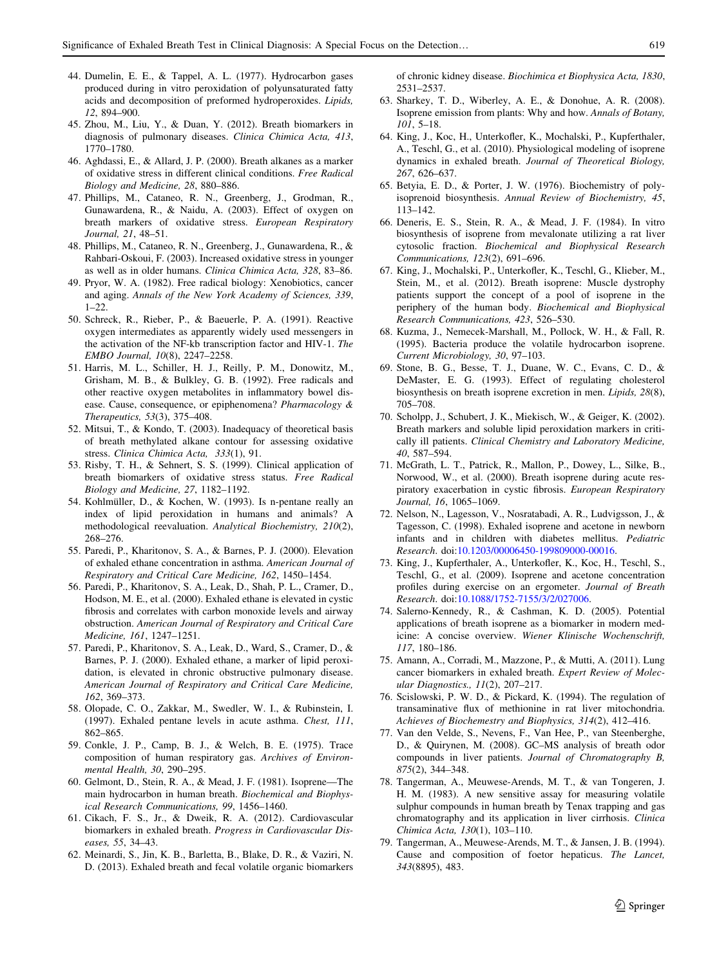- <span id="page-14-0"></span>44. Dumelin, E. E., & Tappel, A. L. (1977). Hydrocarbon gases produced during in vitro peroxidation of polyunsaturated fatty acids and decomposition of preformed hydroperoxides. Lipids, 12, 894–900.
- 45. Zhou, M., Liu, Y., & Duan, Y. (2012). Breath biomarkers in diagnosis of pulmonary diseases. Clinica Chimica Acta, 413, 1770–1780.
- 46. Aghdassi, E., & Allard, J. P. (2000). Breath alkanes as a marker of oxidative stress in different clinical conditions. Free Radical Biology and Medicine, 28, 880–886.
- 47. Phillips, M., Cataneo, R. N., Greenberg, J., Grodman, R., Gunawardena, R., & Naidu, A. (2003). Effect of oxygen on breath markers of oxidative stress. European Respiratory Journal, 21, 48–51.
- 48. Phillips, M., Cataneo, R. N., Greenberg, J., Gunawardena, R., & Rahbari-Oskoui, F. (2003). Increased oxidative stress in younger as well as in older humans. Clinica Chimica Acta, 328, 83–86.
- 49. Pryor, W. A. (1982). Free radical biology: Xenobiotics, cancer and aging. Annals of the New York Academy of Sciences, 339,  $1 - 22$
- 50. Schreck, R., Rieber, P., & Baeuerle, P. A. (1991). Reactive oxygen intermediates as apparently widely used messengers in the activation of the NF-kb transcription factor and HIV-1. The EMBO Journal, 10(8), 2247–2258.
- 51. Harris, M. L., Schiller, H. J., Reilly, P. M., Donowitz, M., Grisham, M. B., & Bulkley, G. B. (1992). Free radicals and other reactive oxygen metabolites in inflammatory bowel disease. Cause, consequence, or epiphenomena? Pharmacology & Therapeutics, 53(3), 375–408.
- 52. Mitsui, T., & Kondo, T. (2003). Inadequacy of theoretical basis of breath methylated alkane contour for assessing oxidative stress. Clinica Chimica Acta, 333(1), 91.
- 53. Risby, T. H., & Sehnert, S. S. (1999). Clinical application of breath biomarkers of oxidative stress status. Free Radical Biology and Medicine, 27, 1182–1192.
- 54. Kohlmüller, D., & Kochen, W. (1993). Is n-pentane really an index of lipid peroxidation in humans and animals? A methodological reevaluation. Analytical Biochemistry, 210(2), 268–276.
- 55. Paredi, P., Kharitonov, S. A., & Barnes, P. J. (2000). Elevation of exhaled ethane concentration in asthma. American Journal of Respiratory and Critical Care Medicine, 162, 1450–1454.
- 56. Paredi, P., Kharitonov, S. A., Leak, D., Shah, P. L., Cramer, D., Hodson, M. E., et al. (2000). Exhaled ethane is elevated in cystic fibrosis and correlates with carbon monoxide levels and airway obstruction. American Journal of Respiratory and Critical Care Medicine, 161, 1247–1251.
- 57. Paredi, P., Kharitonov, S. A., Leak, D., Ward, S., Cramer, D., & Barnes, P. J. (2000). Exhaled ethane, a marker of lipid peroxidation, is elevated in chronic obstructive pulmonary disease. American Journal of Respiratory and Critical Care Medicine, 162, 369–373.
- 58. Olopade, C. O., Zakkar, M., Swedler, W. I., & Rubinstein, I. (1997). Exhaled pentane levels in acute asthma. Chest, 111, 862–865.
- 59. Conkle, J. P., Camp, B. J., & Welch, B. E. (1975). Trace composition of human respiratory gas. Archives of Environmental Health, 30, 290–295.
- 60. Gelmont, D., Stein, R. A., & Mead, J. F. (1981). Isoprene—The main hydrocarbon in human breath. Biochemical and Biophysical Research Communications, 99, 1456–1460.
- 61. Cikach, F. S., Jr., & Dweik, R. A. (2012). Cardiovascular biomarkers in exhaled breath. Progress in Cardiovascular Diseases, 55, 34–43.
- 62. Meinardi, S., Jin, K. B., Barletta, B., Blake, D. R., & Vaziri, N. D. (2013). Exhaled breath and fecal volatile organic biomarkers

of chronic kidney disease. Biochimica et Biophysica Acta, 1830, 2531–2537.

- 63. Sharkey, T. D., Wiberley, A. E., & Donohue, A. R. (2008). Isoprene emission from plants: Why and how. Annals of Botany, 101, 5–18.
- 64. King, J., Koc, H., Unterkofler, K., Mochalski, P., Kupferthaler, A., Teschl, G., et al. (2010). Physiological modeling of isoprene dynamics in exhaled breath. Journal of Theoretical Biology, 267, 626–637.
- 65. Betyia, E. D., & Porter, J. W. (1976). Biochemistry of polyisoprenoid biosynthesis. Annual Review of Biochemistry, 45, 113–142.
- 66. Deneris, E. S., Stein, R. A., & Mead, J. F. (1984). In vitro biosynthesis of isoprene from mevalonate utilizing a rat liver cytosolic fraction. Biochemical and Biophysical Research Communications, 123(2), 691–696.
- 67. King, J., Mochalski, P., Unterkofler, K., Teschl, G., Klieber, M., Stein, M., et al. (2012). Breath isoprene: Muscle dystrophy patients support the concept of a pool of isoprene in the periphery of the human body. Biochemical and Biophysical Research Communications, 423, 526–530.
- 68. Kuzma, J., Nemecek-Marshall, M., Pollock, W. H., & Fall, R. (1995). Bacteria produce the volatile hydrocarbon isoprene. Current Microbiology, 30, 97–103.
- 69. Stone, B. G., Besse, T. J., Duane, W. C., Evans, C. D., & DeMaster, E. G. (1993). Effect of regulating cholesterol biosynthesis on breath isoprene excretion in men. Lipids, 28(8), 705–708.
- 70. Scholpp, J., Schubert, J. K., Miekisch, W., & Geiger, K. (2002). Breath markers and soluble lipid peroxidation markers in critically ill patients. Clinical Chemistry and Laboratory Medicine, 40, 587–594.
- 71. McGrath, L. T., Patrick, R., Mallon, P., Dowey, L., Silke, B., Norwood, W., et al. (2000). Breath isoprene during acute respiratory exacerbation in cystic fibrosis. European Respiratory Journal, 16, 1065–1069.
- 72. Nelson, N., Lagesson, V., Nosratabadi, A. R., Ludvigsson, J., & Tagesson, C. (1998). Exhaled isoprene and acetone in newborn infants and in children with diabetes mellitus. Pediatric Research. doi[:10.1203/00006450-199809000-00016](http://dx.doi.org/10.1203/00006450-199809000-00016).
- 73. King, J., Kupferthaler, A., Unterkofler, K., Koc, H., Teschl, S., Teschl, G., et al. (2009). Isoprene and acetone concentration profiles during exercise on an ergometer. Journal of Breath Research. doi[:10.1088/1752-7155/3/2/027006.](http://dx.doi.org/10.1088/1752-7155/3/2/027006)
- 74. Salerno-Kennedy, R., & Cashman, K. D. (2005). Potential applications of breath isoprene as a biomarker in modern medicine: A concise overview. Wiener Klinische Wochenschrift, 117, 180–186.
- 75. Amann, A., Corradi, M., Mazzone, P., & Mutti, A. (2011). Lung cancer biomarkers in exhaled breath. Expert Review of Molecular Diagnostics., 11(2), 207–217.
- 76. Scislowski, P. W. D., & Pickard, K. (1994). The regulation of transaminative flux of methionine in rat liver mitochondria. Achieves of Biochemestry and Biophysics, 314(2), 412–416.
- 77. Van den Velde, S., Nevens, F., Van Hee, P., van Steenberghe, D., & Quirynen, M. (2008). GC–MS analysis of breath odor compounds in liver patients. Journal of Chromatography B, 875(2), 344–348.
- 78. Tangerman, A., Meuwese-Arends, M. T., & van Tongeren, J. H. M. (1983). A new sensitive assay for measuring volatile sulphur compounds in human breath by Tenax trapping and gas chromatography and its application in liver cirrhosis. Clinica Chimica Acta, 130(1), 103–110.
- 79. Tangerman, A., Meuwese-Arends, M. T., & Jansen, J. B. (1994). Cause and composition of foetor hepaticus. The Lancet, 343(8895), 483.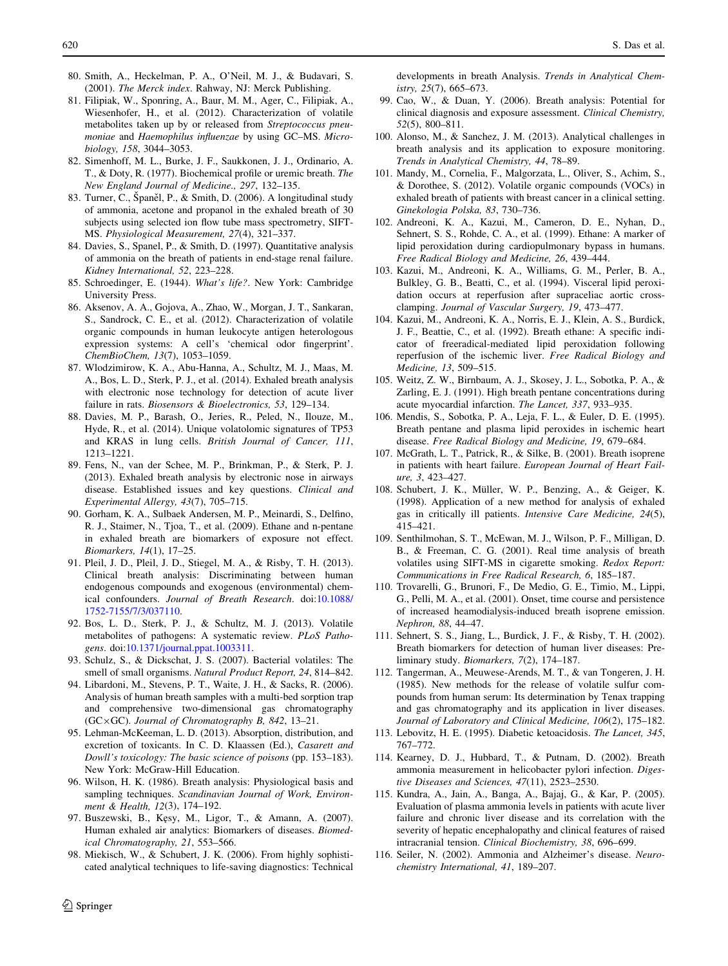- <span id="page-15-0"></span>80. Smith, A., Heckelman, P. A., O'Neil, M. J., & Budavari, S. (2001). The Merck index. Rahway, NJ: Merck Publishing.
- 81. Filipiak, W., Sponring, A., Baur, M. M., Ager, C., Filipiak, A., Wiesenhofer, H., et al. (2012). Characterization of volatile metabolites taken up by or released from Streptococcus pneumoniae and Haemophilus influenzae by using GC–MS. Microbiology, 158, 3044–3053.
- 82. Simenhoff, M. L., Burke, J. F., Saukkonen, J. J., Ordinario, A. T., & Doty, R. (1977). Biochemical profile or uremic breath. The New England Journal of Medicine., 297, 132–135.
- 83. Turner, C., Španěl, P., & Smith, D. (2006). A longitudinal study of ammonia, acetone and propanol in the exhaled breath of 30 subjects using selected ion flow tube mass spectrometry, SIFT-MS. Physiological Measurement, 27(4), 321–337.
- 84. Davies, S., Spanel, P., & Smith, D. (1997). Quantitative analysis of ammonia on the breath of patients in end-stage renal failure. Kidney International, 52, 223–228.
- 85. Schroedinger, E. (1944). What's life?. New York: Cambridge University Press.
- 86. Aksenov, A. A., Gojova, A., Zhao, W., Morgan, J. T., Sankaran, S., Sandrock, C. E., et al. (2012). Characterization of volatile organic compounds in human leukocyte antigen heterologous expression systems: A cell's 'chemical odor fingerprint'. ChemBioChem, 13(7), 1053–1059.
- 87. Wlodzimirow, K. A., Abu-Hanna, A., Schultz, M. J., Maas, M. A., Bos, L. D., Sterk, P. J., et al. (2014). Exhaled breath analysis with electronic nose technology for detection of acute liver failure in rats. Biosensors & Bioelectronics, 53, 129–134.
- 88. Davies, M. P., Barash, O., Jeries, R., Peled, N., Ilouze, M., Hyde, R., et al. (2014). Unique volatolomic signatures of TP53 and KRAS in lung cells. British Journal of Cancer, 111, 1213–1221.
- 89. Fens, N., van der Schee, M. P., Brinkman, P., & Sterk, P. J. (2013). Exhaled breath analysis by electronic nose in airways disease. Established issues and key questions. Clinical and Experimental Allergy, 43(7), 705–715.
- 90. Gorham, K. A., Sulbaek Andersen, M. P., Meinardi, S., Delfino, R. J., Staimer, N., Tjoa, T., et al. (2009). Ethane and n-pentane in exhaled breath are biomarkers of exposure not effect. Biomarkers, 14(1), 17–25.
- 91. Pleil, J. D., Pleil, J. D., Stiegel, M. A., & Risby, T. H. (2013). Clinical breath analysis: Discriminating between human endogenous compounds and exogenous (environmental) chemical confounders. Journal of Breath Research. doi[:10.1088/](http://dx.doi.org/10.1088/1752-7155/7/3/037110) [1752-7155/7/3/037110](http://dx.doi.org/10.1088/1752-7155/7/3/037110).
- 92. Bos, L. D., Sterk, P. J., & Schultz, M. J. (2013). Volatile metabolites of pathogens: A systematic review. PLoS Pathogens. doi[:10.1371/journal.ppat.1003311.](http://dx.doi.org/10.1371/journal.ppat.1003311)
- 93. Schulz, S., & Dickschat, J. S. (2007). Bacterial volatiles: The smell of small organisms. Natural Product Report, 24, 814–842.
- 94. Libardoni, M., Stevens, P. T., Waite, J. H., & Sacks, R. (2006). Analysis of human breath samples with a multi-bed sorption trap and comprehensive two-dimensional gas chromatography  $(GC \times GC)$ . Journal of Chromatography B, 842, 13-21.
- 95. Lehman-McKeeman, L. D. (2013). Absorption, distribution, and excretion of toxicants. In C. D. Klaassen (Ed.), Casarett and Dowll's toxicology: The basic science of poisons (pp. 153–183). New York: McGraw-Hill Education.
- 96. Wilson, H. K. (1986). Breath analysis: Physiological basis and sampling techniques. Scandinavian Journal of Work, Environment & Health, 12(3), 174–192.
- 97. Buszewski, B., Kęsy, M., Ligor, T., & Amann, A. (2007). Human exhaled air analytics: Biomarkers of diseases. Biomedical Chromatography, 21, 553–566.
- 98. Miekisch, W., & Schubert, J. K. (2006). From highly sophisticated analytical techniques to life-saving diagnostics: Technical

 $\textcircled{2}$  Springer

developments in breath Analysis. Trends in Analytical Chemistry, 25(7), 665–673.

- 99. Cao, W., & Duan, Y. (2006). Breath analysis: Potential for clinical diagnosis and exposure assessment. Clinical Chemistry, 52(5), 800–811.
- 100. Alonso, M., & Sanchez, J. M. (2013). Analytical challenges in breath analysis and its application to exposure monitoring. Trends in Analytical Chemistry, 44, 78–89.
- 101. Mandy, M., Cornelia, F., Malgorzata, L., Oliver, S., Achim, S., & Dorothee, S. (2012). Volatile organic compounds (VOCs) in exhaled breath of patients with breast cancer in a clinical setting. Ginekologia Polska, 83, 730–736.
- 102. Andreoni, K. A., Kazui, M., Cameron, D. E., Nyhan, D., Sehnert, S. S., Rohde, C. A., et al. (1999). Ethane: A marker of lipid peroxidation during cardiopulmonary bypass in humans. Free Radical Biology and Medicine, 26, 439–444.
- 103. Kazui, M., Andreoni, K. A., Williams, G. M., Perler, B. A., Bulkley, G. B., Beatti, C., et al. (1994). Visceral lipid peroxidation occurs at reperfusion after supraceliac aortic crossclamping. Journal of Vascular Surgery, 19, 473–477.
- 104. Kazui, M., Andreoni, K. A., Norris, E. J., Klein, A. S., Burdick, J. F., Beattie, C., et al. (1992). Breath ethane: A specific indicator of freeradical-mediated lipid peroxidation following reperfusion of the ischemic liver. Free Radical Biology and Medicine, 13, 509–515.
- 105. Weitz, Z. W., Birnbaum, A. J., Skosey, J. L., Sobotka, P. A., & Zarling, E. J. (1991). High breath pentane concentrations during acute myocardial infarction. The Lancet, 337, 933–935.
- 106. Mendis, S., Sobotka, P. A., Leja, F. L., & Euler, D. E. (1995). Breath pentane and plasma lipid peroxides in ischemic heart disease. Free Radical Biology and Medicine, 19, 679–684.
- 107. McGrath, L. T., Patrick, R., & Silke, B. (2001). Breath isoprene in patients with heart failure. European Journal of Heart Failure, 3, 423–427.
- 108. Schubert, J. K., Müller, W. P., Benzing, A., & Geiger, K. (1998). Application of a new method for analysis of exhaled gas in critically ill patients. Intensive Care Medicine, 24(5), 415–421.
- 109. Senthilmohan, S. T., McEwan, M. J., Wilson, P. F., Milligan, D. B., & Freeman, C. G. (2001). Real time analysis of breath volatiles using SIFT-MS in cigarette smoking. Redox Report: Communications in Free Radical Research, 6, 185–187.
- 110. Trovarelli, G., Brunori, F., De Medio, G. E., Timio, M., Lippi, G., Pelli, M. A., et al. (2001). Onset, time course and persistence of increased heamodialysis-induced breath isoprene emission. Nephron, 88, 44–47.
- 111. Sehnert, S. S., Jiang, L., Burdick, J. F., & Risby, T. H. (2002). Breath biomarkers for detection of human liver diseases: Preliminary study. Biomarkers, 7(2), 174–187.
- 112. Tangerman, A., Meuwese-Arends, M. T., & van Tongeren, J. H. (1985). New methods for the release of volatile sulfur compounds from human serum: Its determination by Tenax trapping and gas chromatography and its application in liver diseases. Journal of Laboratory and Clinical Medicine, 106(2), 175–182.
- 113. Lebovitz, H. E. (1995). Diabetic ketoacidosis. The Lancet, 345, 767–772.
- 114. Kearney, D. J., Hubbard, T., & Putnam, D. (2002). Breath ammonia measurement in helicobacter pylori infection. Digestive Diseases and Sciences, 47(11), 2523–2530.
- 115. Kundra, A., Jain, A., Banga, A., Bajaj, G., & Kar, P. (2005). Evaluation of plasma ammonia levels in patients with acute liver failure and chronic liver disease and its correlation with the severity of hepatic encephalopathy and clinical features of raised intracranial tension. Clinical Biochemistry, 38, 696–699.
- 116. Seiler, N. (2002). Ammonia and Alzheimer's disease. Neurochemistry International, 41, 189–207.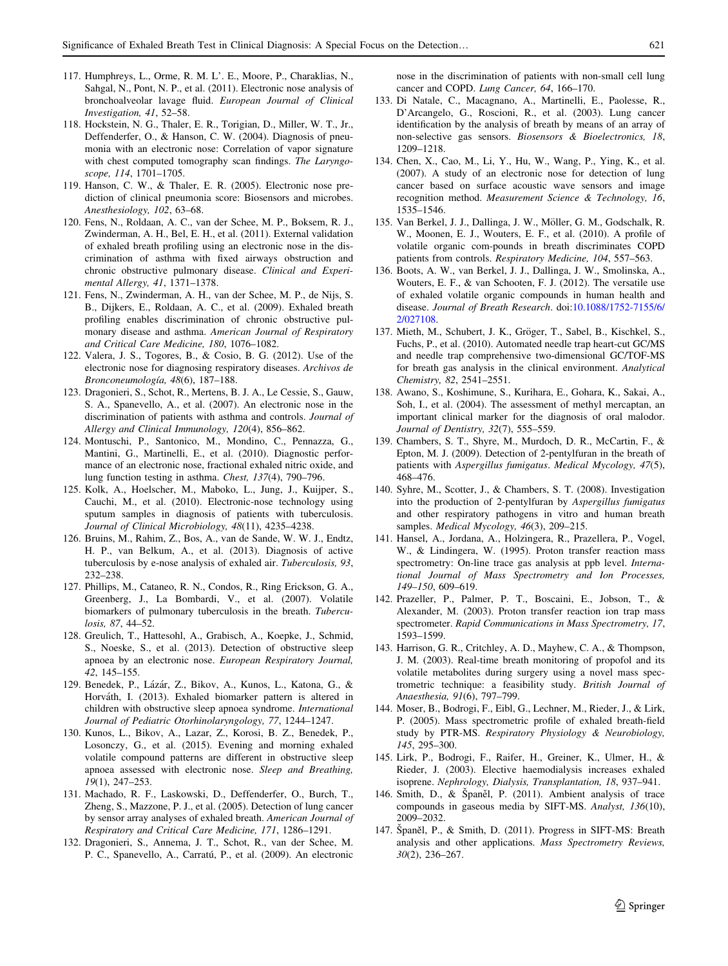- <span id="page-16-0"></span>117. Humphreys, L., Orme, R. M. L'. E., Moore, P., Charaklias, N., Sahgal, N., Pont, N. P., et al. (2011). Electronic nose analysis of bronchoalveolar lavage fluid. European Journal of Clinical Investigation, 41, 52–58.
- 118. Hockstein, N. G., Thaler, E. R., Torigian, D., Miller, W. T., Jr., Deffenderfer, O., & Hanson, C. W. (2004). Diagnosis of pneumonia with an electronic nose: Correlation of vapor signature with chest computed tomography scan findings. The Laryngoscope, 114, 1701–1705.
- 119. Hanson, C. W., & Thaler, E. R. (2005). Electronic nose prediction of clinical pneumonia score: Biosensors and microbes. Anesthesiology, 102, 63–68.
- 120. Fens, N., Roldaan, A. C., van der Schee, M. P., Boksem, R. J., Zwinderman, A. H., Bel, E. H., et al. (2011). External validation of exhaled breath profiling using an electronic nose in the discrimination of asthma with fixed airways obstruction and chronic obstructive pulmonary disease. Clinical and Experimental Allergy, 41, 1371–1378.
- 121. Fens, N., Zwinderman, A. H., van der Schee, M. P., de Nijs, S. B., Dijkers, E., Roldaan, A. C., et al. (2009). Exhaled breath profiling enables discrimination of chronic obstructive pulmonary disease and asthma. American Journal of Respiratory and Critical Care Medicine, 180, 1076–1082.
- 122. Valera, J. S., Togores, B., & Cosio, B. G. (2012). Use of the electronic nose for diagnosing respiratory diseases. Archivos de Bronconeumología, 48(6), 187-188.
- 123. Dragonieri, S., Schot, R., Mertens, B. J. A., Le Cessie, S., Gauw, S. A., Spanevello, A., et al. (2007). An electronic nose in the discrimination of patients with asthma and controls. Journal of Allergy and Clinical Immunology, 120(4), 856–862.
- 124. Montuschi, P., Santonico, M., Mondino, C., Pennazza, G., Mantini, G., Martinelli, E., et al. (2010). Diagnostic performance of an electronic nose, fractional exhaled nitric oxide, and lung function testing in asthma. Chest, 137(4), 790–796.
- 125. Kolk, A., Hoelscher, M., Maboko, L., Jung, J., Kuijper, S., Cauchi, M., et al. (2010). Electronic-nose technology using sputum samples in diagnosis of patients with tuberculosis. Journal of Clinical Microbiology, 48(11), 4235–4238.
- 126. Bruins, M., Rahim, Z., Bos, A., van de Sande, W. W. J., Endtz, H. P., van Belkum, A., et al. (2013). Diagnosis of active tuberculosis by e-nose analysis of exhaled air. Tuberculosis, 93, 232–238.
- 127. Phillips, M., Cataneo, R. N., Condos, R., Ring Erickson, G. A., Greenberg, J., La Bombardi, V., et al. (2007). Volatile biomarkers of pulmonary tuberculosis in the breath. Tuberculosis, 87, 44–52.
- 128. Greulich, T., Hattesohl, A., Grabisch, A., Koepke, J., Schmid, S., Noeske, S., et al. (2013). Detection of obstructive sleep apnoea by an electronic nose. European Respiratory Journal, 42, 145–155.
- 129. Benedek, P., Lázár, Z., Bikov, A., Kunos, L., Katona, G., & Horváth, I. (2013). Exhaled biomarker pattern is altered in children with obstructive sleep apnoea syndrome. International Journal of Pediatric Otorhinolaryngology, 77, 1244–1247.
- 130. Kunos, L., Bikov, A., Lazar, Z., Korosi, B. Z., Benedek, P., Losonczy, G., et al. (2015). Evening and morning exhaled volatile compound patterns are different in obstructive sleep apnoea assessed with electronic nose. Sleep and Breathing, 19(1), 247–253.
- 131. Machado, R. F., Laskowski, D., Deffenderfer, O., Burch, T., Zheng, S., Mazzone, P. J., et al. (2005). Detection of lung cancer by sensor array analyses of exhaled breath. American Journal of Respiratory and Critical Care Medicine, 171, 1286–1291.
- 132. Dragonieri, S., Annema, J. T., Schot, R., van der Schee, M. P. C., Spanevello, A., Carratú, P., et al. (2009). An electronic

nose in the discrimination of patients with non-small cell lung cancer and COPD. Lung Cancer, 64, 166–170.

- 133. Di Natale, C., Macagnano, A., Martinelli, E., Paolesse, R., D'Arcangelo, G., Roscioni, R., et al. (2003). Lung cancer identification by the analysis of breath by means of an array of non-selective gas sensors. Biosensors & Bioelectronics, 18, 1209–1218.
- 134. Chen, X., Cao, M., Li, Y., Hu, W., Wang, P., Ying, K., et al. (2007). A study of an electronic nose for detection of lung cancer based on surface acoustic wave sensors and image recognition method. Measurement Science & Technology, 16, 1535–1546.
- 135. Van Berkel, J. J., Dallinga, J. W., Möller, G. M., Godschalk, R. W., Moonen, E. J., Wouters, E. F., et al. (2010). A profile of volatile organic com-pounds in breath discriminates COPD patients from controls. Respiratory Medicine, 104, 557–563.
- 136. Boots, A. W., van Berkel, J. J., Dallinga, J. W., Smolinska, A., Wouters, E. F., & van Schooten, F. J. (2012). The versatile use of exhaled volatile organic compounds in human health and disease. Journal of Breath Research. doi:[10.1088/1752-7155/6/](http://dx.doi.org/10.1088/1752-7155/6/2/027108) [2/027108.](http://dx.doi.org/10.1088/1752-7155/6/2/027108)
- 137. Mieth, M., Schubert, J. K., Gröger, T., Sabel, B., Kischkel, S., Fuchs, P., et al. (2010). Automated needle trap heart-cut GC/MS and needle trap comprehensive two-dimensional GC/TOF-MS for breath gas analysis in the clinical environment. Analytical Chemistry, 82, 2541–2551.
- 138. Awano, S., Koshimune, S., Kurihara, E., Gohara, K., Sakai, A., Soh, I., et al. (2004). The assessment of methyl mercaptan, an important clinical marker for the diagnosis of oral malodor. Journal of Dentistry, 32(7), 555–559.
- 139. Chambers, S. T., Shyre, M., Murdoch, D. R., McCartin, F., & Epton, M. J. (2009). Detection of 2-pentylfuran in the breath of patients with Aspergillus fumigatus. Medical Mycology, 47(5), 468–476.
- 140. Syhre, M., Scotter, J., & Chambers, S. T. (2008). Investigation into the production of 2-pentylfuran by Aspergillus fumigatus and other respiratory pathogens in vitro and human breath samples. Medical Mycology, 46(3), 209-215.
- 141. Hansel, A., Jordana, A., Holzingera, R., Prazellera, P., Vogel, W., & Lindingera, W. (1995). Proton transfer reaction mass spectrometry: On-line trace gas analysis at ppb level. International Journal of Mass Spectrometry and Ion Processes, 149–150, 609–619.
- 142. Prazeller, P., Palmer, P. T., Boscaini, E., Jobson, T., & Alexander, M. (2003). Proton transfer reaction ion trap mass spectrometer. Rapid Communications in Mass Spectrometry, 17, 1593–1599.
- 143. Harrison, G. R., Critchley, A. D., Mayhew, C. A., & Thompson, J. M. (2003). Real-time breath monitoring of propofol and its volatile metabolites during surgery using a novel mass spectrometric technique: a feasibility study. British Journal of Anaesthesia, 91(6), 797–799.
- 144. Moser, B., Bodrogi, F., Eibl, G., Lechner, M., Rieder, J., & Lirk, P. (2005). Mass spectrometric profile of exhaled breath-field study by PTR-MS. Respiratory Physiology & Neurobiology, 145, 295–300.
- 145. Lirk, P., Bodrogi, F., Raifer, H., Greiner, K., Ulmer, H., & Rieder, J. (2003). Elective haemodialysis increases exhaled isoprene. Nephrology, Dialysis, Transplantation, 18, 937–941.
- 146. Smith, D., & Spaněl, P. (2011). Ambient analysis of trace compounds in gaseous media by SIFT-MS. Analyst, 136(10), 2009–2032.
- 147. Španěl, P., & Smith, D. (2011). Progress in SIFT-MS: Breath analysis and other applications. Mass Spectrometry Reviews, 30(2), 236–267.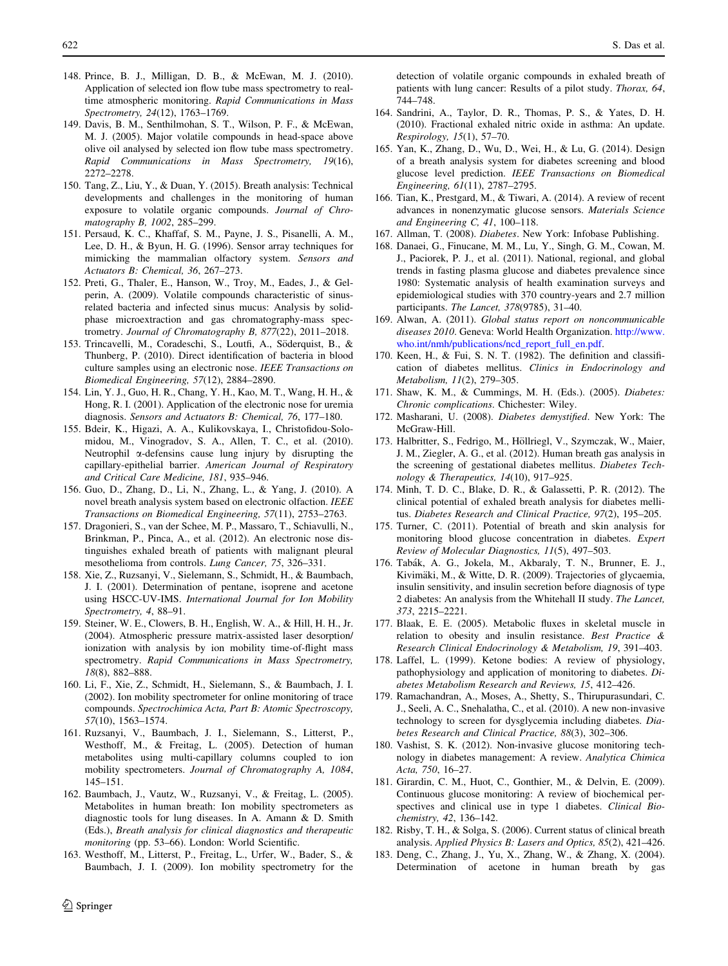- <span id="page-17-0"></span>148. Prince, B. J., Milligan, D. B., & McEwan, M. J. (2010). Application of selected ion flow tube mass spectrometry to realtime atmospheric monitoring. Rapid Communications in Mass Spectrometry, 24(12), 1763–1769.
- 149. Davis, B. M., Senthilmohan, S. T., Wilson, P. F., & McEwan, M. J. (2005). Major volatile compounds in head-space above olive oil analysed by selected ion flow tube mass spectrometry. Rapid Communications in Mass Spectrometry, 19(16), 2272–2278.
- 150. Tang, Z., Liu, Y., & Duan, Y. (2015). Breath analysis: Technical developments and challenges in the monitoring of human exposure to volatile organic compounds. Journal of Chromatography B, 1002, 285–299.
- 151. Persaud, K. C., Khaffaf, S. M., Payne, J. S., Pisanelli, A. M., Lee, D. H., & Byun, H. G. (1996). Sensor array techniques for mimicking the mammalian olfactory system. Sensors and Actuators B: Chemical, 36, 267–273.
- 152. Preti, G., Thaler, E., Hanson, W., Troy, M., Eades, J., & Gelperin, A. (2009). Volatile compounds characteristic of sinusrelated bacteria and infected sinus mucus: Analysis by solidphase microextraction and gas chromatography-mass spectrometry. Journal of Chromatography B, 877(22), 2011–2018.
- 153. Trincavelli, M., Coradeschi, S., Loutfi, A., Söderquist, B., & Thunberg, P. (2010). Direct identification of bacteria in blood culture samples using an electronic nose. IEEE Transactions on Biomedical Engineering, 57(12), 2884–2890.
- 154. Lin, Y. J., Guo, H. R., Chang, Y. H., Kao, M. T., Wang, H. H., & Hong, R. I. (2001). Application of the electronic nose for uremia diagnosis. Sensors and Actuators B: Chemical, 76, 177–180.
- 155. Bdeir, K., Higazi, A. A., Kulikovskaya, I., Christofidou-Solomidou, M., Vinogradov, S. A., Allen, T. C., et al. (2010). Neutrophil a-defensins cause lung injury by disrupting the capillary-epithelial barrier. American Journal of Respiratory and Critical Care Medicine, 181, 935–946.
- 156. Guo, D., Zhang, D., Li, N., Zhang, L., & Yang, J. (2010). A novel breath analysis system based on electronic olfaction. IEEE Transactions on Biomedical Engineering, 57(11), 2753–2763.
- 157. Dragonieri, S., van der Schee, M. P., Massaro, T., Schiavulli, N., Brinkman, P., Pinca, A., et al. (2012). An electronic nose distinguishes exhaled breath of patients with malignant pleural mesothelioma from controls. Lung Cancer, 75, 326–331.
- 158. Xie, Z., Ruzsanyi, V., Sielemann, S., Schmidt, H., & Baumbach, J. I. (2001). Determination of pentane, isoprene and acetone using HSCC-UV-IMS. International Journal for Ion Mobility Spectrometry, 4, 88–91.
- 159. Steiner, W. E., Clowers, B. H., English, W. A., & Hill, H. H., Jr. (2004). Atmospheric pressure matrix-assisted laser desorption/ ionization with analysis by ion mobility time-of-flight mass spectrometry. Rapid Communications in Mass Spectrometry, 18(8), 882–888.
- 160. Li, F., Xie, Z., Schmidt, H., Sielemann, S., & Baumbach, J. I. (2002). Ion mobility spectrometer for online monitoring of trace compounds. Spectrochimica Acta, Part B: Atomic Spectroscopy, 57(10), 1563–1574.
- 161. Ruzsanyi, V., Baumbach, J. I., Sielemann, S., Litterst, P., Westhoff, M., & Freitag, L. (2005). Detection of human metabolites using multi-capillary columns coupled to ion mobility spectrometers. Journal of Chromatography A, 1084, 145–151.
- 162. Baumbach, J., Vautz, W., Ruzsanyi, V., & Freitag, L. (2005). Metabolites in human breath: Ion mobility spectrometers as diagnostic tools for lung diseases. In A. Amann & D. Smith (Eds.), Breath analysis for clinical diagnostics and therapeutic monitoring (pp. 53–66). London: World Scientific.
- 163. Westhoff, M., Litterst, P., Freitag, L., Urfer, W., Bader, S., & Baumbach, J. I. (2009). Ion mobility spectrometry for the

detection of volatile organic compounds in exhaled breath of patients with lung cancer: Results of a pilot study. Thorax, 64, 744–748.

- 164. Sandrini, A., Taylor, D. R., Thomas, P. S., & Yates, D. H. (2010). Fractional exhaled nitric oxide in asthma: An update. Respirology, 15(1), 57–70.
- 165. Yan, K., Zhang, D., Wu, D., Wei, H., & Lu, G. (2014). Design of a breath analysis system for diabetes screening and blood glucose level prediction. IEEE Transactions on Biomedical Engineering, 61(11), 2787–2795.
- 166. Tian, K., Prestgard, M., & Tiwari, A. (2014). A review of recent advances in nonenzymatic glucose sensors. Materials Science and Engineering C, 41, 100–118.
- 167. Allman, T. (2008). Diabetes. New York: Infobase Publishing.
- 168. Danaei, G., Finucane, M. M., Lu, Y., Singh, G. M., Cowan, M. J., Paciorek, P. J., et al. (2011). National, regional, and global trends in fasting plasma glucose and diabetes prevalence since 1980: Systematic analysis of health examination surveys and epidemiological studies with 370 country-years and 2.7 million participants. The Lancet, 378(9785), 31–40.
- 169. Alwan, A. (2011). Global status report on noncommunicable diseases 2010. Geneva: World Health Organization. [http://www.](http://www.who.int/nmh/publications/ncd_report_full_en.pdf) [who.int/nmh/publications/ncd\\_report\\_full\\_en.pdf.](http://www.who.int/nmh/publications/ncd_report_full_en.pdf)
- 170. Keen, H., & Fui, S. N. T. (1982). The definition and classification of diabetes mellitus. Clinics in Endocrinology and Metabolism, 11(2), 279–305.
- 171. Shaw, K. M., & Cummings, M. H. (Eds.). (2005). Diabetes: Chronic complications. Chichester: Wiley.
- 172. Masharani, U. (2008). Diabetes demystified. New York: The McGraw-Hill.
- 173. Halbritter, S., Fedrigo, M., Höllriegl, V., Szymczak, W., Maier, J. M., Ziegler, A. G., et al. (2012). Human breath gas analysis in the screening of gestational diabetes mellitus. Diabetes Technology & Therapeutics, 14(10), 917–925.
- 174. Minh, T. D. C., Blake, D. R., & Galassetti, P. R. (2012). The clinical potential of exhaled breath analysis for diabetes mellitus. Diabetes Research and Clinical Practice, 97(2), 195–205.
- 175. Turner, C. (2011). Potential of breath and skin analysis for monitoring blood glucose concentration in diabetes. Expert Review of Molecular Diagnostics, 11(5), 497–503.
- 176. Tabák, A. G., Jokela, M., Akbaraly, T. N., Brunner, E. J., Kivimäki, M., & Witte, D. R. (2009). Trajectories of glycaemia, insulin sensitivity, and insulin secretion before diagnosis of type 2 diabetes: An analysis from the Whitehall II study. The Lancet, 373, 2215–2221.
- 177. Blaak, E. E. (2005). Metabolic fluxes in skeletal muscle in relation to obesity and insulin resistance. Best Practice & Research Clinical Endocrinology & Metabolism, 19, 391–403.
- 178. Laffel, L. (1999). Ketone bodies: A review of physiology, pathophysiology and application of monitoring to diabetes. Diabetes Metabolism Research and Reviews, 15, 412–426.
- 179. Ramachandran, A., Moses, A., Shetty, S., Thirupurasundari, C. J., Seeli, A. C., Snehalatha, C., et al. (2010). A new non-invasive technology to screen for dysglycemia including diabetes. Diabetes Research and Clinical Practice, 88(3), 302–306.
- 180. Vashist, S. K. (2012). Non-invasive glucose monitoring technology in diabetes management: A review. Analytica Chimica Acta, 750, 16–27.
- 181. Girardin, C. M., Huot, C., Gonthier, M., & Delvin, E. (2009). Continuous glucose monitoring: A review of biochemical perspectives and clinical use in type 1 diabetes. Clinical Biochemistry, 42, 136–142.
- 182. Risby, T. H., & Solga, S. (2006). Current status of clinical breath analysis. Applied Physics B: Lasers and Optics, 85(2), 421–426.
- 183. Deng, C., Zhang, J., Yu, X., Zhang, W., & Zhang, X. (2004). Determination of acetone in human breath by gas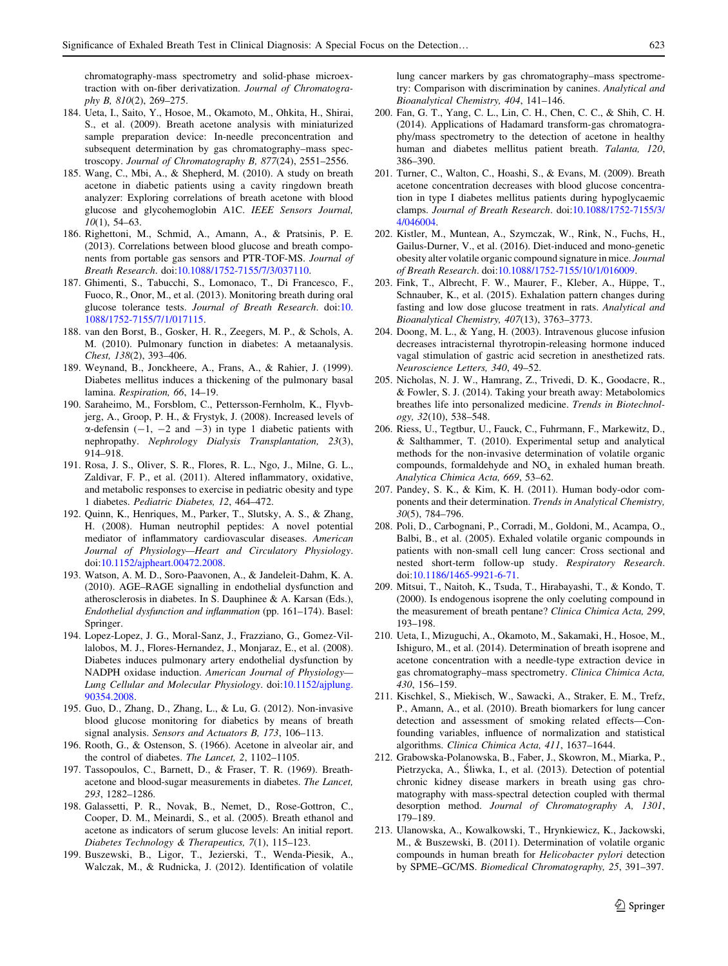<span id="page-18-0"></span>chromatography-mass spectrometry and solid-phase microextraction with on-fiber derivatization. Journal of Chromatography B, 810(2), 269–275.

- 184. Ueta, I., Saito, Y., Hosoe, M., Okamoto, M., Ohkita, H., Shirai, S., et al. (2009). Breath acetone analysis with miniaturized sample preparation device: In-needle preconcentration and subsequent determination by gas chromatography–mass spectroscopy. Journal of Chromatography B, 877(24), 2551–2556.
- 185. Wang, C., Mbi, A., & Shepherd, M. (2010). A study on breath acetone in diabetic patients using a cavity ringdown breath analyzer: Exploring correlations of breath acetone with blood glucose and glycohemoglobin A1C. IEEE Sensors Journal, 10(1), 54–63.
- 186. Righettoni, M., Schmid, A., Amann, A., & Pratsinis, P. E. (2013). Correlations between blood glucose and breath components from portable gas sensors and PTR-TOF-MS. Journal of Breath Research. doi[:10.1088/1752-7155/7/3/037110.](http://dx.doi.org/10.1088/1752-7155/7/3/037110)
- 187. Ghimenti, S., Tabucchi, S., Lomonaco, T., Di Francesco, F., Fuoco, R., Onor, M., et al. (2013). Monitoring breath during oral glucose tolerance tests. Journal of Breath Research. doi:[10.](http://dx.doi.org/10.1088/1752-7155/7/1/017115) [1088/1752-7155/7/1/017115.](http://dx.doi.org/10.1088/1752-7155/7/1/017115)
- 188. van den Borst, B., Gosker, H. R., Zeegers, M. P., & Schols, A. M. (2010). Pulmonary function in diabetes: A metaanalysis. Chest, 138(2), 393–406.
- 189. Weynand, B., Jonckheere, A., Frans, A., & Rahier, J. (1999). Diabetes mellitus induces a thickening of the pulmonary basal lamina. Respiration, 66, 14–19.
- 190. Saraheimo, M., Forsblom, C., Pettersson-Fernholm, K., Flyvbjerg, A., Groop, P. H., & Frystyk, J. (2008). Increased levels of  $\alpha$ -defensin (-1, -2 and -3) in type 1 diabetic patients with nephropathy. Nephrology Dialysis Transplantation, 23(3), 914–918.
- 191. Rosa, J. S., Oliver, S. R., Flores, R. L., Ngo, J., Milne, G. L., Zaldivar, F. P., et al. (2011). Altered inflammatory, oxidative, and metabolic responses to exercise in pediatric obesity and type 1 diabetes. Pediatric Diabetes, 12, 464–472.
- 192. Quinn, K., Henriques, M., Parker, T., Slutsky, A. S., & Zhang, H. (2008). Human neutrophil peptides: A novel potential mediator of inflammatory cardiovascular diseases. American Journal of Physiology—Heart and Circulatory Physiology. doi:[10.1152/ajpheart.00472.2008](http://dx.doi.org/10.1152/ajpheart.00472.2008).
- 193. Watson, A. M. D., Soro-Paavonen, A., & Jandeleit-Dahm, K. A. (2010). AGE–RAGE signalling in endothelial dysfunction and atherosclerosis in diabetes. In S. Dauphinee & A. Karsan (Eds.), Endothelial dysfunction and inflammation (pp. 161–174). Basel: Springer.
- 194. Lopez-Lopez, J. G., Moral-Sanz, J., Frazziano, G., Gomez-Villalobos, M. J., Flores-Hernandez, J., Monjaraz, E., et al. (2008). Diabetes induces pulmonary artery endothelial dysfunction by NADPH oxidase induction. American Journal of Physiology— Lung Cellular and Molecular Physiology. doi:[10.1152/ajplung.](http://dx.doi.org/10.1152/ajplung.90354.2008) [90354.2008.](http://dx.doi.org/10.1152/ajplung.90354.2008)
- 195. Guo, D., Zhang, D., Zhang, L., & Lu, G. (2012). Non-invasive blood glucose monitoring for diabetics by means of breath signal analysis. Sensors and Actuators B, 173, 106–113.
- 196. Rooth, G., & Ostenson, S. (1966). Acetone in alveolar air, and the control of diabetes. The Lancet, 2, 1102–1105.
- 197. Tassopoulos, C., Barnett, D., & Fraser, T. R. (1969). Breathacetone and blood-sugar measurements in diabetes. The Lancet, 293, 1282–1286.
- 198. Galassetti, P. R., Novak, B., Nemet, D., Rose-Gottron, C., Cooper, D. M., Meinardi, S., et al. (2005). Breath ethanol and acetone as indicators of serum glucose levels: An initial report. Diabetes Technology & Therapeutics, 7(1), 115–123.
- 199. Buszewski, B., Ligor, T., Jezierski, T., Wenda-Piesik, A., Walczak, M., & Rudnicka, J. (2012). Identification of volatile

lung cancer markers by gas chromatography–mass spectrometry: Comparison with discrimination by canines. Analytical and Bioanalytical Chemistry, 404, 141–146.

- 200. Fan, G. T., Yang, C. L., Lin, C. H., Chen, C. C., & Shih, C. H. (2014). Applications of Hadamard transform-gas chromatography/mass spectrometry to the detection of acetone in healthy human and diabetes mellitus patient breath. Talanta, 120, 386–390.
- 201. Turner, C., Walton, C., Hoashi, S., & Evans, M. (2009). Breath acetone concentration decreases with blood glucose concentration in type I diabetes mellitus patients during hypoglycaemic clamps. Journal of Breath Research. doi:[10.1088/1752-7155/3/](http://dx.doi.org/10.1088/1752-7155/3/4/046004) [4/046004.](http://dx.doi.org/10.1088/1752-7155/3/4/046004)
- 202. Kistler, M., Muntean, A., Szymczak, W., Rink, N., Fuchs, H., Gailus-Durner, V., et al. (2016). Diet-induced and mono-genetic obesity alter volatile organic compound signature in mice. Journal of Breath Research. doi:[10.1088/1752-7155/10/1/016009](http://dx.doi.org/10.1088/1752-7155/10/1/016009).
- 203. Fink, T., Albrecht, F. W., Maurer, F., Kleber, A., Hüppe, T., Schnauber, K., et al. (2015). Exhalation pattern changes during fasting and low dose glucose treatment in rats. Analytical and Bioanalytical Chemistry, 407(13), 3763–3773.
- 204. Doong, M. L., & Yang, H. (2003). Intravenous glucose infusion decreases intracisternal thyrotropin-releasing hormone induced vagal stimulation of gastric acid secretion in anesthetized rats. Neuroscience Letters, 340, 49–52.
- 205. Nicholas, N. J. W., Hamrang, Z., Trivedi, D. K., Goodacre, R., & Fowler, S. J. (2014). Taking your breath away: Metabolomics breathes life into personalized medicine. Trends in Biotechnology, 32(10), 538–548.
- 206. Riess, U., Tegtbur, U., Fauck, C., Fuhrmann, F., Markewitz, D., & Salthammer, T. (2010). Experimental setup and analytical methods for the non-invasive determination of volatile organic compounds, formaldehyde and  $NO<sub>x</sub>$  in exhaled human breath. Analytica Chimica Acta, 669, 53–62.
- 207. Pandey, S. K., & Kim, K. H. (2011). Human body-odor components and their determination. Trends in Analytical Chemistry, 30(5), 784–796.
- 208. Poli, D., Carbognani, P., Corradi, M., Goldoni, M., Acampa, O., Balbi, B., et al. (2005). Exhaled volatile organic compounds in patients with non-small cell lung cancer: Cross sectional and nested short-term follow-up study. Respiratory Research. doi:[10.1186/1465-9921-6-71.](http://dx.doi.org/10.1186/1465-9921-6-71)
- 209. Mitsui, T., Naitoh, K., Tsuda, T., Hirabayashi, T., & Kondo, T. (2000). Is endogenous isoprene the only coeluting compound in the measurement of breath pentane? Clinica Chimica Acta, 299, 193–198.
- 210. Ueta, I., Mizuguchi, A., Okamoto, M., Sakamaki, H., Hosoe, M., Ishiguro, M., et al. (2014). Determination of breath isoprene and acetone concentration with a needle-type extraction device in gas chromatography–mass spectrometry. Clinica Chimica Acta, 430, 156–159.
- 211. Kischkel, S., Miekisch, W., Sawacki, A., Straker, E. M., Trefz, P., Amann, A., et al. (2010). Breath biomarkers for lung cancer detection and assessment of smoking related effects—Confounding variables, influence of normalization and statistical algorithms. Clinica Chimica Acta, 411, 1637–1644.
- 212. Grabowska-Polanowska, B., Faber, J., Skowron, M., Miarka, P., Pietrzycka, A., Śliwka, I., et al. (2013). Detection of potential chronic kidney disease markers in breath using gas chromatography with mass-spectral detection coupled with thermal desorption method. Journal of Chromatography A, 1301, 179–189.
- 213. Ulanowska, A., Kowalkowski, T., Hrynkiewicz, K., Jackowski, M., & Buszewski, B. (2011). Determination of volatile organic compounds in human breath for Helicobacter pylori detection by SPME–GC/MS. Biomedical Chromatography, 25, 391–397.